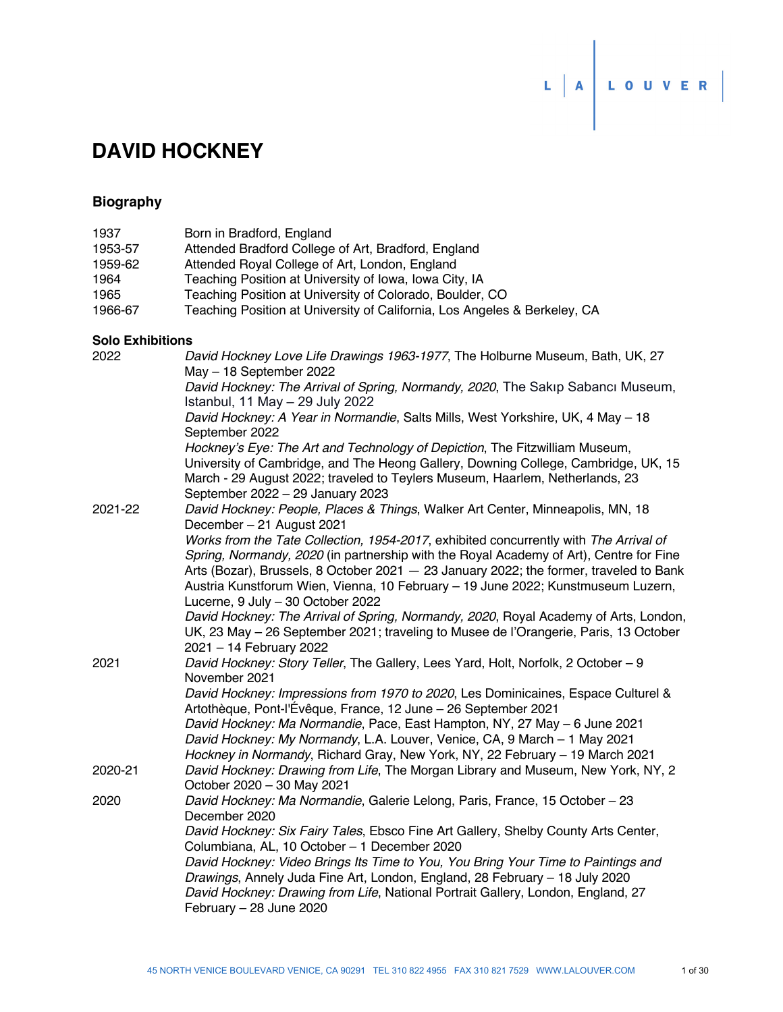# **DAVID HOCKNEY**

## **Biography**

| 1937                    | Born in Bradford, England                                                                                                                                          |
|-------------------------|--------------------------------------------------------------------------------------------------------------------------------------------------------------------|
| 1953-57                 | Attended Bradford College of Art, Bradford, England                                                                                                                |
| 1959-62                 | Attended Royal College of Art, London, England                                                                                                                     |
| 1964                    | Teaching Position at University of Iowa, Iowa City, IA                                                                                                             |
| 1965                    | Teaching Position at University of Colorado, Boulder, CO                                                                                                           |
| 1966-67                 | Teaching Position at University of California, Los Angeles & Berkeley, CA                                                                                          |
| <b>Solo Exhibitions</b> |                                                                                                                                                                    |
| 2022                    | David Hockney Love Life Drawings 1963-1977, The Holburne Museum, Bath, UK, 27                                                                                      |
|                         | May - 18 September 2022                                                                                                                                            |
|                         | David Hockney: The Arrival of Spring, Normandy, 2020, The Sakip Sabanci Museum,<br>Istanbul, 11 May - 29 July 2022                                                 |
|                         | David Hockney: A Year in Normandie, Salts Mills, West Yorkshire, UK, 4 May - 18<br>September 2022                                                                  |
|                         | Hockney's Eye: The Art and Technology of Depiction, The Fitzwilliam Museum,                                                                                        |
|                         | University of Cambridge, and The Heong Gallery, Downing College, Cambridge, UK, 15<br>March - 29 August 2022; traveled to Teylers Museum, Haarlem, Netherlands, 23 |
|                         | September 2022 - 29 January 2023                                                                                                                                   |
| 2021-22                 | David Hockney: People, Places & Things, Walker Art Center, Minneapolis, MN, 18<br>December - 21 August 2021                                                        |
|                         | Works from the Tate Collection, 1954-2017, exhibited concurrently with The Arrival of                                                                              |
|                         | Spring, Normandy, 2020 (in partnership with the Royal Academy of Art), Centre for Fine                                                                             |
|                         | Arts (Bozar), Brussels, 8 October 2021 - 23 January 2022; the former, traveled to Bank                                                                             |
|                         | Austria Kunstforum Wien, Vienna, 10 February - 19 June 2022; Kunstmuseum Luzern,<br>Lucerne, 9 July - 30 October 2022                                              |
|                         | David Hockney: The Arrival of Spring, Normandy, 2020, Royal Academy of Arts, London,                                                                               |
|                         | UK, 23 May - 26 September 2021; traveling to Musee de l'Orangerie, Paris, 13 October<br>2021 - 14 February 2022                                                    |
| 2021                    | David Hockney: Story Teller, The Gallery, Lees Yard, Holt, Norfolk, 2 October - 9                                                                                  |
|                         | November 2021                                                                                                                                                      |
|                         | David Hockney: Impressions from 1970 to 2020, Les Dominicaines, Espace Culturel &<br>Artothèque, Pont-l'Évêque, France, 12 June – 26 September 2021                |
|                         | David Hockney: Ma Normandie, Pace, East Hampton, NY, 27 May - 6 June 2021                                                                                          |
|                         | David Hockney: My Normandy, L.A. Louver, Venice, CA, 9 March - 1 May 2021                                                                                          |
|                         | Hockney in Normandy, Richard Gray, New York, NY, 22 February - 19 March 2021                                                                                       |
| 2020-21                 | David Hockney: Drawing from Life, The Morgan Library and Museum, New York, NY, 2                                                                                   |
|                         | October 2020 - 30 May 2021                                                                                                                                         |
| 2020                    | David Hockney: Ma Normandie, Galerie Lelong, Paris, France, 15 October - 23                                                                                        |
|                         | December 2020                                                                                                                                                      |
|                         | David Hockney: Six Fairy Tales, Ebsco Fine Art Gallery, Shelby County Arts Center,                                                                                 |
|                         | Columbiana, AL, 10 October - 1 December 2020                                                                                                                       |
|                         | David Hockney: Video Brings Its Time to You, You Bring Your Time to Paintings and                                                                                  |
|                         | Drawings, Annely Juda Fine Art, London, England, 28 February - 18 July 2020                                                                                        |
|                         | David Hockney: Drawing from Life, National Portrait Gallery, London, England, 27                                                                                   |
|                         | February - 28 June 2020                                                                                                                                            |

 $L |A$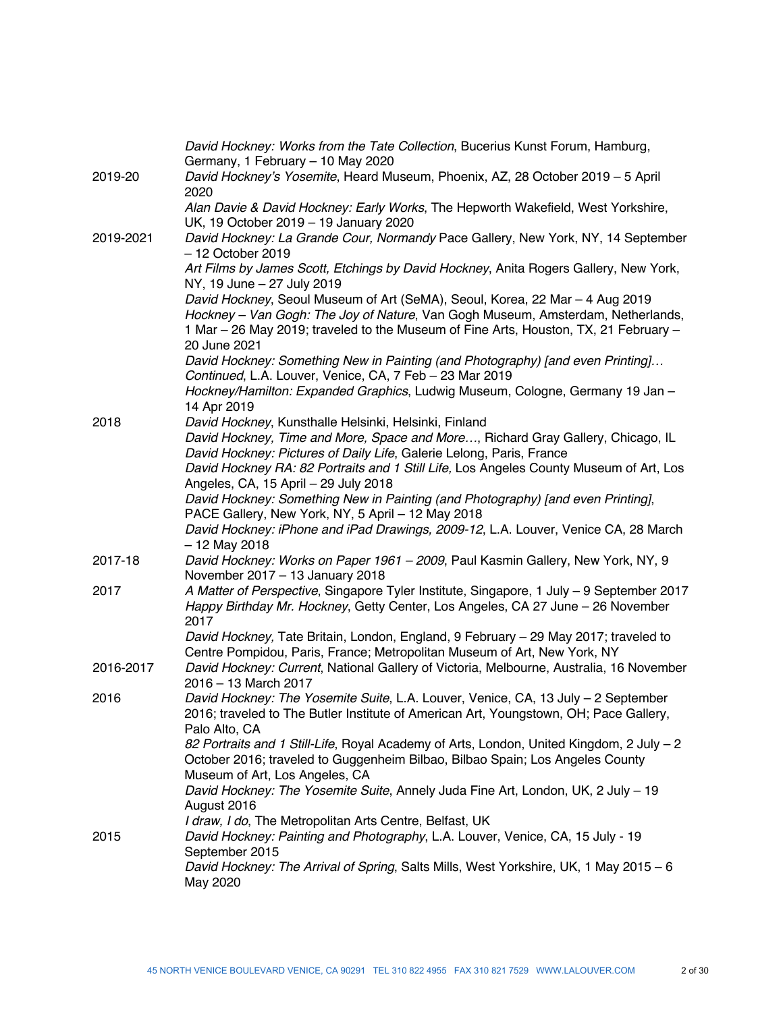|           | David Hockney: Works from the Tate Collection, Bucerius Kunst Forum, Hamburg,<br>Germany, 1 February - 10 May 2020                                                                                                                                                      |
|-----------|-------------------------------------------------------------------------------------------------------------------------------------------------------------------------------------------------------------------------------------------------------------------------|
| 2019-20   | David Hockney's Yosemite, Heard Museum, Phoenix, AZ, 28 October 2019 - 5 April<br>2020                                                                                                                                                                                  |
|           | Alan Davie & David Hockney: Early Works, The Hepworth Wakefield, West Yorkshire,<br>UK, 19 October 2019 - 19 January 2020                                                                                                                                               |
| 2019-2021 | David Hockney: La Grande Cour, Normandy Pace Gallery, New York, NY, 14 September<br>$-12$ October 2019                                                                                                                                                                  |
|           | Art Films by James Scott, Etchings by David Hockney, Anita Rogers Gallery, New York,<br>NY, 19 June - 27 July 2019                                                                                                                                                      |
|           | David Hockney, Seoul Museum of Art (SeMA), Seoul, Korea, 22 Mar - 4 Aug 2019<br>Hockney - Van Gogh: The Joy of Nature, Van Gogh Museum, Amsterdam, Netherlands,<br>1 Mar – 26 May 2019; traveled to the Museum of Fine Arts, Houston, TX, 21 February –<br>20 June 2021 |
|           | David Hockney: Something New in Painting (and Photography) [and even Printing]<br>Continued, L.A. Louver, Venice, CA, 7 Feb - 23 Mar 2019                                                                                                                               |
|           | Hockney/Hamilton: Expanded Graphics, Ludwig Museum, Cologne, Germany 19 Jan -<br>14 Apr 2019                                                                                                                                                                            |
| 2018      | David Hockney, Kunsthalle Helsinki, Helsinki, Finland                                                                                                                                                                                                                   |
|           | David Hockney, Time and More, Space and More, Richard Gray Gallery, Chicago, IL<br>David Hockney: Pictures of Daily Life, Galerie Lelong, Paris, France                                                                                                                 |
|           | David Hockney RA: 82 Portraits and 1 Still Life, Los Angeles County Museum of Art, Los<br>Angeles, CA, 15 April - 29 July 2018                                                                                                                                          |
|           | David Hockney: Something New in Painting (and Photography) [and even Printing],                                                                                                                                                                                         |
|           | PACE Gallery, New York, NY, 5 April - 12 May 2018<br>David Hockney: iPhone and iPad Drawings, 2009-12, L.A. Louver, Venice CA, 28 March<br>$-12$ May 2018                                                                                                               |
| 2017-18   | David Hockney: Works on Paper 1961 - 2009, Paul Kasmin Gallery, New York, NY, 9<br>November 2017 - 13 January 2018                                                                                                                                                      |
| 2017      | A Matter of Perspective, Singapore Tyler Institute, Singapore, 1 July - 9 September 2017<br>Happy Birthday Mr. Hockney, Getty Center, Los Angeles, CA 27 June - 26 November<br>2017                                                                                     |
|           | David Hockney, Tate Britain, London, England, 9 February - 29 May 2017; traveled to<br>Centre Pompidou, Paris, France; Metropolitan Museum of Art, New York, NY                                                                                                         |
| 2016-2017 | David Hockney: Current, National Gallery of Victoria, Melbourne, Australia, 16 November<br>2016 - 13 March 2017                                                                                                                                                         |
| 2016      | David Hockney: The Yosemite Suite, L.A. Louver, Venice, CA, 13 July - 2 September<br>2016; traveled to The Butler Institute of American Art, Youngstown, OH; Pace Gallery,<br>Palo Alto, CA                                                                             |
|           | 82 Portraits and 1 Still-Life, Royal Academy of Arts, London, United Kingdom, 2 July - 2<br>October 2016; traveled to Guggenheim Bilbao, Bilbao Spain; Los Angeles County                                                                                               |
|           | Museum of Art, Los Angeles, CA<br>David Hockney: The Yosemite Suite, Annely Juda Fine Art, London, UK, 2 July - 19<br>August 2016                                                                                                                                       |
|           | I draw, I do, The Metropolitan Arts Centre, Belfast, UK                                                                                                                                                                                                                 |
| 2015      | David Hockney: Painting and Photography, L.A. Louver, Venice, CA, 15 July - 19<br>September 2015                                                                                                                                                                        |
|           | David Hockney: The Arrival of Spring, Salts Mills, West Yorkshire, UK, 1 May 2015 - 6<br>May 2020                                                                                                                                                                       |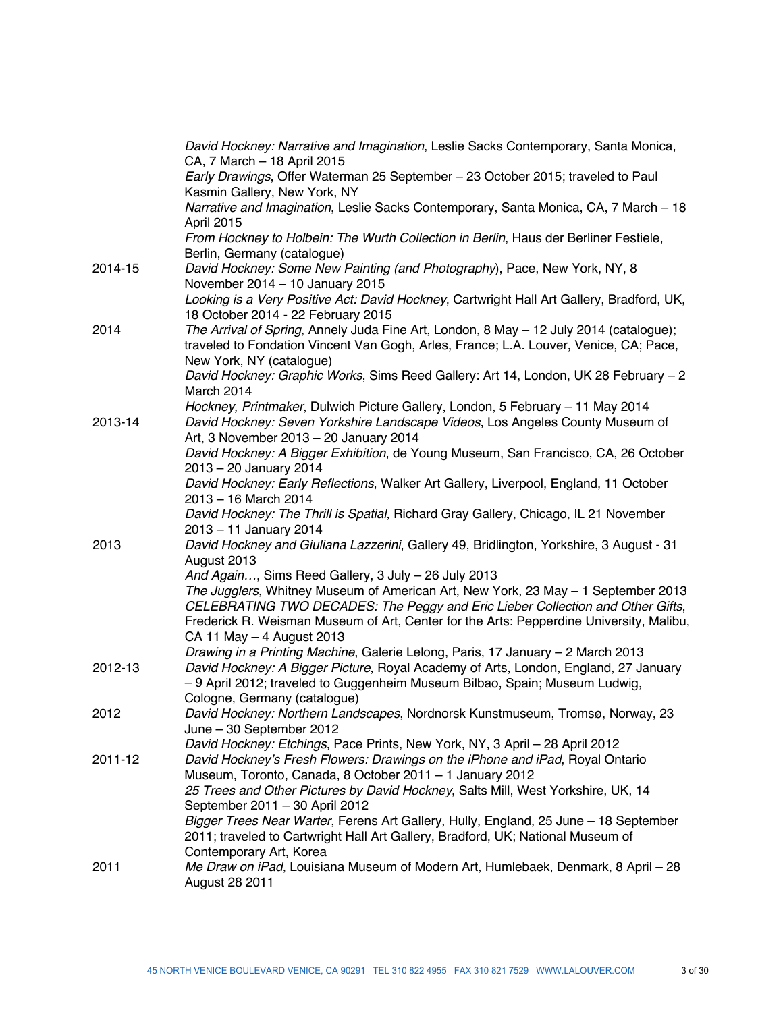|         | David Hockney: Narrative and Imagination, Leslie Sacks Contemporary, Santa Monica,<br>CA, 7 March - 18 April 2015                                                                                                                                              |
|---------|----------------------------------------------------------------------------------------------------------------------------------------------------------------------------------------------------------------------------------------------------------------|
|         | Early Drawings, Offer Waterman 25 September - 23 October 2015; traveled to Paul<br>Kasmin Gallery, New York, NY                                                                                                                                                |
|         | Narrative and Imagination, Leslie Sacks Contemporary, Santa Monica, CA, 7 March - 18<br>April 2015                                                                                                                                                             |
|         | From Hockney to Holbein: The Wurth Collection in Berlin, Haus der Berliner Festiele,<br>Berlin, Germany (catalogue)                                                                                                                                            |
| 2014-15 | David Hockney: Some New Painting (and Photography), Pace, New York, NY, 8<br>November $2014 - 10$ January 2015                                                                                                                                                 |
|         | Looking is a Very Positive Act: David Hockney, Cartwright Hall Art Gallery, Bradford, UK,<br>18 October 2014 - 22 February 2015                                                                                                                                |
| 2014    | The Arrival of Spring, Annely Juda Fine Art, London, 8 May - 12 July 2014 (catalogue);<br>traveled to Fondation Vincent Van Gogh, Arles, France; L.A. Louver, Venice, CA; Pace,                                                                                |
|         | New York, NY (catalogue)<br>David Hockney: Graphic Works, Sims Reed Gallery: Art 14, London, UK 28 February - 2<br>March 2014                                                                                                                                  |
| 2013-14 | Hockney, Printmaker, Dulwich Picture Gallery, London, 5 February - 11 May 2014<br>David Hockney: Seven Yorkshire Landscape Videos, Los Angeles County Museum of                                                                                                |
|         | Art, 3 November 2013 - 20 January 2014<br>David Hockney: A Bigger Exhibition, de Young Museum, San Francisco, CA, 26 October                                                                                                                                   |
|         | 2013 - 20 January 2014<br>David Hockney: Early Reflections, Walker Art Gallery, Liverpool, England, 11 October<br>2013 - 16 March 2014                                                                                                                         |
|         | David Hockney: The Thrill is Spatial, Richard Gray Gallery, Chicago, IL 21 November<br>2013 - 11 January 2014                                                                                                                                                  |
| 2013    | David Hockney and Giuliana Lazzerini, Gallery 49, Bridlington, Yorkshire, 3 August - 31<br>August 2013                                                                                                                                                         |
|         | And Again, Sims Reed Gallery, 3 July - 26 July 2013                                                                                                                                                                                                            |
|         | The Jugglers, Whitney Museum of American Art, New York, 23 May - 1 September 2013<br>CELEBRATING TWO DECADES: The Peggy and Eric Lieber Collection and Other Gifts,<br>Frederick R. Weisman Museum of Art, Center for the Arts: Pepperdine University, Malibu, |
|         | CA 11 May - 4 August 2013<br>Drawing in a Printing Machine, Galerie Lelong, Paris, 17 January - 2 March 2013                                                                                                                                                   |
| 2012-13 | David Hockney: A Bigger Picture, Royal Academy of Arts, London, England, 27 January<br>-9 April 2012; traveled to Guggenheim Museum Bilbao, Spain; Museum Ludwig,                                                                                              |
| 2012    | Cologne, Germany (catalogue)<br>David Hockney: Northern Landscapes, Nordnorsk Kunstmuseum, Tromsø, Norway, 23                                                                                                                                                  |
|         | June - 30 September 2012                                                                                                                                                                                                                                       |
|         | David Hockney: Etchings, Pace Prints, New York, NY, 3 April - 28 April 2012                                                                                                                                                                                    |
| 2011-12 | David Hockney's Fresh Flowers: Drawings on the iPhone and iPad, Royal Ontario<br>Museum, Toronto, Canada, 8 October 2011 - 1 January 2012                                                                                                                      |
|         | 25 Trees and Other Pictures by David Hockney, Salts Mill, West Yorkshire, UK, 14                                                                                                                                                                               |
|         | September 2011 - 30 April 2012                                                                                                                                                                                                                                 |
|         | Bigger Trees Near Warter, Ferens Art Gallery, Hully, England, 25 June - 18 September<br>2011; traveled to Cartwright Hall Art Gallery, Bradford, UK; National Museum of                                                                                        |
| 2011    | Contemporary Art, Korea<br>Me Draw on iPad, Louisiana Museum of Modern Art, Humlebaek, Denmark, 8 April - 28                                                                                                                                                   |
|         | August 28 2011                                                                                                                                                                                                                                                 |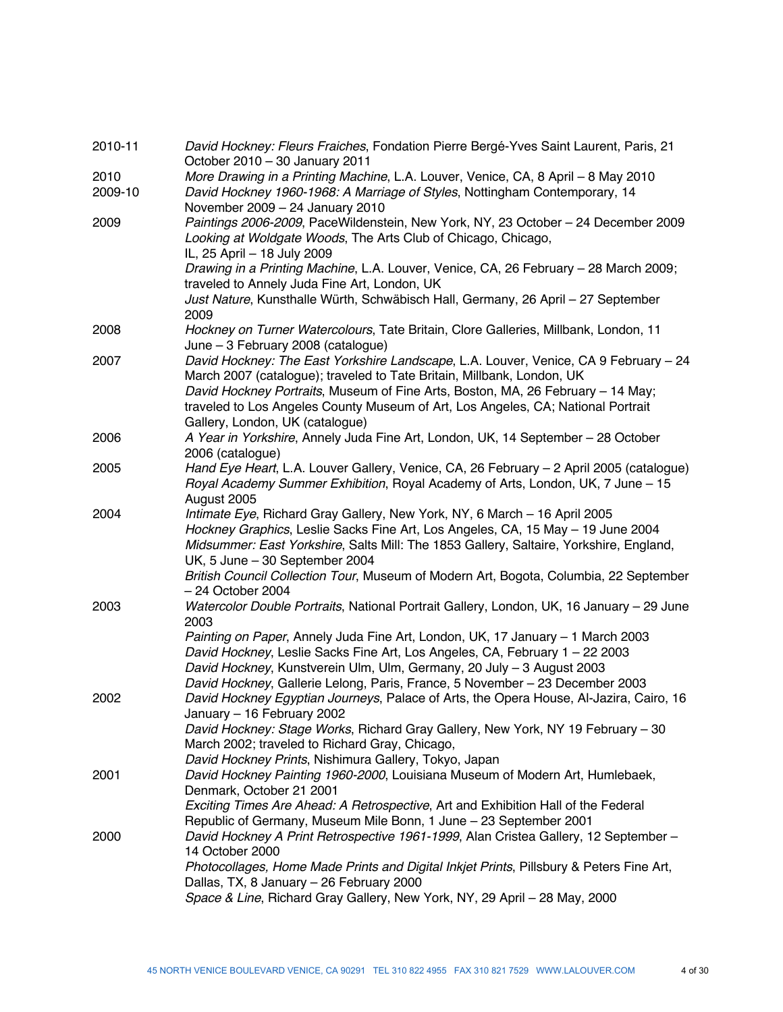| 2010-11         | David Hockney: Fleurs Fraiches, Fondation Pierre Bergé-Yves Saint Laurent, Paris, 21<br>October 2010 - 30 January 2011                                                                                                                                                                                                                                                                          |
|-----------------|-------------------------------------------------------------------------------------------------------------------------------------------------------------------------------------------------------------------------------------------------------------------------------------------------------------------------------------------------------------------------------------------------|
| 2010<br>2009-10 | More Drawing in a Printing Machine, L.A. Louver, Venice, CA, 8 April - 8 May 2010<br>David Hockney 1960-1968: A Marriage of Styles, Nottingham Contemporary, 14                                                                                                                                                                                                                                 |
| 2009            | November 2009 - 24 January 2010<br>Paintings 2006-2009, PaceWildenstein, New York, NY, 23 October - 24 December 2009<br>Looking at Woldgate Woods, The Arts Club of Chicago, Chicago,<br>IL, 25 April - 18 July 2009                                                                                                                                                                            |
|                 | Drawing in a Printing Machine, L.A. Louver, Venice, CA, 26 February - 28 March 2009;<br>traveled to Annely Juda Fine Art, London, UK<br>Just Nature, Kunsthalle Würth, Schwäbisch Hall, Germany, 26 April - 27 September                                                                                                                                                                        |
| 2008            | 2009<br>Hockney on Turner Watercolours, Tate Britain, Clore Galleries, Millbank, London, 11<br>June - 3 February 2008 (catalogue)                                                                                                                                                                                                                                                               |
| 2007            | David Hockney: The East Yorkshire Landscape, L.A. Louver, Venice, CA 9 February - 24<br>March 2007 (catalogue); traveled to Tate Britain, Millbank, London, UK<br>David Hockney Portraits, Museum of Fine Arts, Boston, MA, 26 February - 14 May;<br>traveled to Los Angeles County Museum of Art, Los Angeles, CA; National Portrait<br>Gallery, London, UK (catalogue)                        |
| 2006            | A Year in Yorkshire, Annely Juda Fine Art, London, UK, 14 September - 28 October<br>2006 (catalogue)                                                                                                                                                                                                                                                                                            |
| 2005            | Hand Eye Heart, L.A. Louver Gallery, Venice, CA, 26 February - 2 April 2005 (catalogue)<br>Royal Academy Summer Exhibition, Royal Academy of Arts, London, UK, 7 June - 15<br>August 2005                                                                                                                                                                                                       |
| 2004            | Intimate Eye, Richard Gray Gallery, New York, NY, 6 March - 16 April 2005<br>Hockney Graphics, Leslie Sacks Fine Art, Los Angeles, CA, 15 May - 19 June 2004<br>Midsummer: East Yorkshire, Salts Mill: The 1853 Gallery, Saltaire, Yorkshire, England,<br>UK, 5 June - 30 September 2004<br>British Council Collection Tour, Museum of Modern Art, Bogota, Columbia, 22 September               |
| 2003            | $-24$ October 2004<br>Watercolor Double Portraits, National Portrait Gallery, London, UK, 16 January - 29 June<br>2003                                                                                                                                                                                                                                                                          |
|                 | Painting on Paper, Annely Juda Fine Art, London, UK, 17 January - 1 March 2003<br>David Hockney, Leslie Sacks Fine Art, Los Angeles, CA, February 1 - 22 2003<br>David Hockney, Kunstverein Ulm, Ulm, Germany, 20 July - 3 August 2003<br>David Hockney, Gallerie Lelong, Paris, France, 5 November - 23 December 2003                                                                          |
| 2002            | David Hockney Egyptian Journeys, Palace of Arts, the Opera House, Al-Jazira, Cairo, 16<br>January - 16 February 2002<br>David Hockney: Stage Works, Richard Gray Gallery, New York, NY 19 February - 30<br>March 2002; traveled to Richard Gray, Chicago,<br>David Hockney Prints, Nishimura Gallery, Tokyo, Japan                                                                              |
| 2001            | David Hockney Painting 1960-2000, Louisiana Museum of Modern Art, Humlebaek,<br>Denmark, October 21 2001<br>Exciting Times Are Ahead: A Retrospective, Art and Exhibition Hall of the Federal                                                                                                                                                                                                   |
| 2000            | Republic of Germany, Museum Mile Bonn, 1 June - 23 September 2001<br>David Hockney A Print Retrospective 1961-1999, Alan Cristea Gallery, 12 September -<br>14 October 2000<br>Photocollages, Home Made Prints and Digital Inkjet Prints, Pillsbury & Peters Fine Art,<br>Dallas, TX, 8 January - 26 February 2000<br>Space & Line, Richard Gray Gallery, New York, NY, 29 April - 28 May, 2000 |
|                 |                                                                                                                                                                                                                                                                                                                                                                                                 |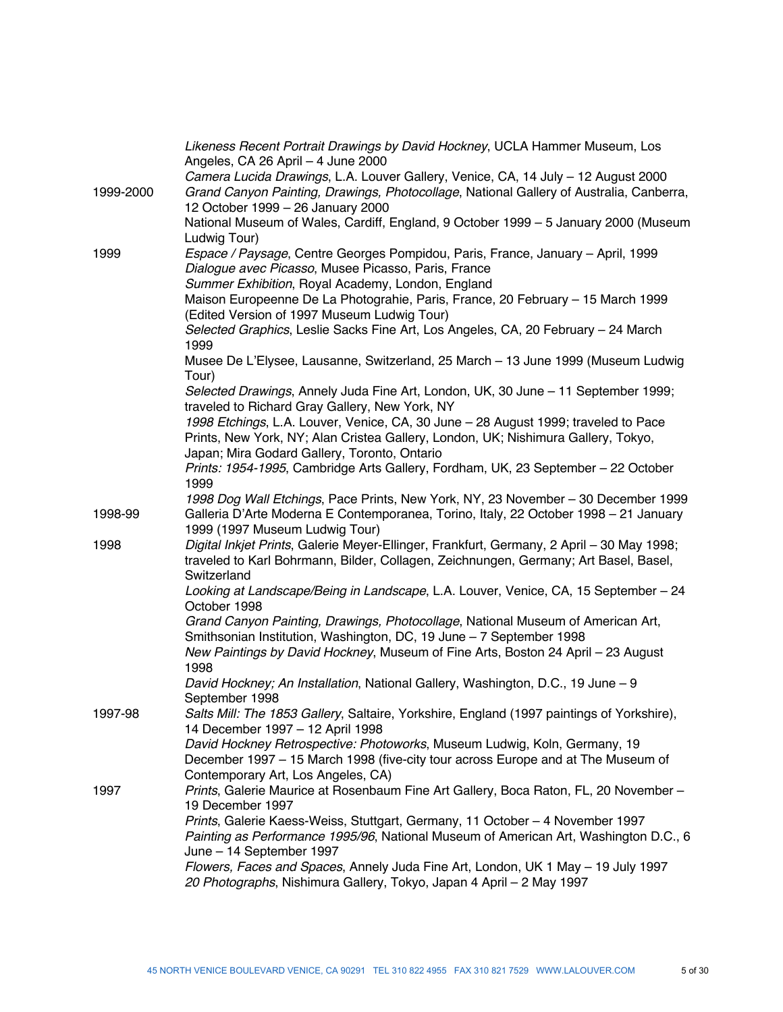|           | Likeness Recent Portrait Drawings by David Hockney, UCLA Hammer Museum, Los<br>Angeles, CA 26 April - 4 June 2000                                                                                                                  |
|-----------|------------------------------------------------------------------------------------------------------------------------------------------------------------------------------------------------------------------------------------|
| 1999-2000 | Camera Lucida Drawings, L.A. Louver Gallery, Venice, CA, 14 July - 12 August 2000<br>Grand Canyon Painting, Drawings, Photocollage, National Gallery of Australia, Canberra,<br>12 October 1999 - 26 January 2000                  |
|           | National Museum of Wales, Cardiff, England, 9 October 1999 - 5 January 2000 (Museum<br>Ludwig Tour)                                                                                                                                |
| 1999      | Espace / Paysage, Centre Georges Pompidou, Paris, France, January - April, 1999<br>Dialogue avec Picasso, Musee Picasso, Paris, France<br>Summer Exhibition, Royal Academy, London, England                                        |
|           | Maison Europeenne De La Photograhie, Paris, France, 20 February - 15 March 1999<br>(Edited Version of 1997 Museum Ludwig Tour)                                                                                                     |
|           | Selected Graphics, Leslie Sacks Fine Art, Los Angeles, CA, 20 February - 24 March<br>1999                                                                                                                                          |
|           | Musee De L'Elysee, Lausanne, Switzerland, 25 March - 13 June 1999 (Museum Ludwig<br>Tour)                                                                                                                                          |
|           | Selected Drawings, Annely Juda Fine Art, London, UK, 30 June - 11 September 1999;<br>traveled to Richard Gray Gallery, New York, NY                                                                                                |
|           | 1998 Etchings, L.A. Louver, Venice, CA, 30 June - 28 August 1999; traveled to Pace<br>Prints, New York, NY; Alan Cristea Gallery, London, UK; Nishimura Gallery, Tokyo,<br>Japan; Mira Godard Gallery, Toronto, Ontario            |
|           | Prints: 1954-1995, Cambridge Arts Gallery, Fordham, UK, 23 September - 22 October<br>1999                                                                                                                                          |
| 1998-99   | 1998 Dog Wall Etchings, Pace Prints, New York, NY, 23 November - 30 December 1999<br>Galleria D'Arte Moderna E Contemporanea, Torino, Italy, 22 October 1998 - 21 January                                                          |
| 1998      | 1999 (1997 Museum Ludwig Tour)<br>Digital Inkjet Prints, Galerie Meyer-Ellinger, Frankfurt, Germany, 2 April - 30 May 1998;<br>traveled to Karl Bohrmann, Bilder, Collagen, Zeichnungen, Germany; Art Basel, Basel,<br>Switzerland |
|           | Looking at Landscape/Being in Landscape, L.A. Louver, Venice, CA, 15 September - 24<br>October 1998                                                                                                                                |
|           | Grand Canyon Painting, Drawings, Photocollage, National Museum of American Art,<br>Smithsonian Institution, Washington, DC, 19 June - 7 September 1998                                                                             |
|           | New Paintings by David Hockney, Museum of Fine Arts, Boston 24 April - 23 August<br>1998                                                                                                                                           |
|           | David Hockney; An Installation, National Gallery, Washington, D.C., 19 June - 9<br>September 1998                                                                                                                                  |
| 1997-98   | Salts Mill: The 1853 Gallery, Saltaire, Yorkshire, England (1997 paintings of Yorkshire),<br>14 December 1997 - 12 April 1998                                                                                                      |
|           | David Hockney Retrospective: Photoworks, Museum Ludwig, Koln, Germany, 19<br>December 1997 - 15 March 1998 (five-city tour across Europe and at The Museum of<br>Contemporary Art, Los Angeles, CA)                                |
| 1997      | Prints, Galerie Maurice at Rosenbaum Fine Art Gallery, Boca Raton, FL, 20 November -<br>19 December 1997                                                                                                                           |
|           | Prints, Galerie Kaess-Weiss, Stuttgart, Germany, 11 October - 4 November 1997<br>Painting as Performance 1995/96, National Museum of American Art, Washington D.C., 6<br>June - 14 September 1997                                  |
|           | Flowers, Faces and Spaces, Annely Juda Fine Art, London, UK 1 May - 19 July 1997<br>20 Photographs, Nishimura Gallery, Tokyo, Japan 4 April - 2 May 1997                                                                           |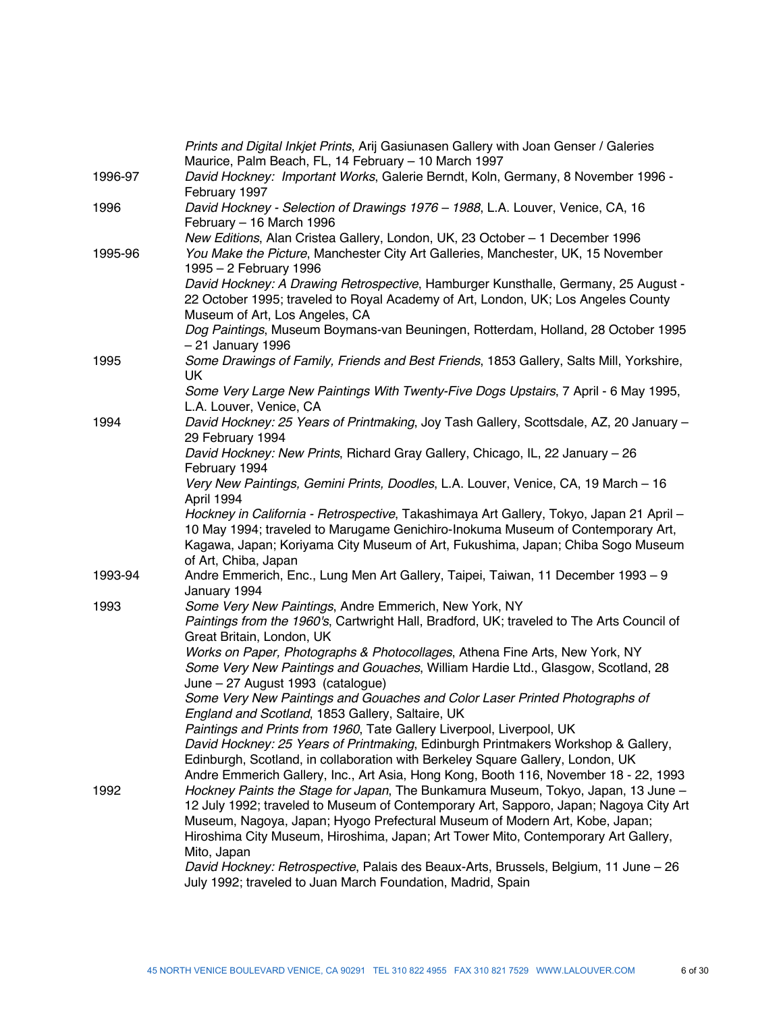|         | Prints and Digital Inkjet Prints, Arij Gasiunasen Gallery with Joan Genser / Galeries<br>Maurice, Palm Beach, FL, 14 February - 10 March 1997                                                                                                                                                                                                                  |
|---------|----------------------------------------------------------------------------------------------------------------------------------------------------------------------------------------------------------------------------------------------------------------------------------------------------------------------------------------------------------------|
| 1996-97 | David Hockney: Important Works, Galerie Berndt, Koln, Germany, 8 November 1996 -<br>February 1997                                                                                                                                                                                                                                                              |
| 1996    | David Hockney - Selection of Drawings 1976 - 1988, L.A. Louver, Venice, CA, 16<br>February - 16 March 1996                                                                                                                                                                                                                                                     |
| 1995-96 | New Editions, Alan Cristea Gallery, London, UK, 23 October - 1 December 1996<br>You Make the Picture, Manchester City Art Galleries, Manchester, UK, 15 November<br>1995 - 2 February 1996                                                                                                                                                                     |
|         | David Hockney: A Drawing Retrospective, Hamburger Kunsthalle, Germany, 25 August -<br>22 October 1995; traveled to Royal Academy of Art, London, UK; Los Angeles County<br>Museum of Art, Los Angeles, CA                                                                                                                                                      |
|         | Dog Paintings, Museum Boymans-van Beuningen, Rotterdam, Holland, 28 October 1995<br>- 21 January 1996                                                                                                                                                                                                                                                          |
| 1995    | Some Drawings of Family, Friends and Best Friends, 1853 Gallery, Salts Mill, Yorkshire,<br><b>UK</b>                                                                                                                                                                                                                                                           |
|         | Some Very Large New Paintings With Twenty-Five Dogs Upstairs, 7 April - 6 May 1995,<br>L.A. Louver, Venice, CA                                                                                                                                                                                                                                                 |
| 1994    | David Hockney: 25 Years of Printmaking, Joy Tash Gallery, Scottsdale, AZ, 20 January -<br>29 February 1994                                                                                                                                                                                                                                                     |
|         | David Hockney: New Prints, Richard Gray Gallery, Chicago, IL, 22 January – 26<br>February 1994                                                                                                                                                                                                                                                                 |
|         | Very New Paintings, Gemini Prints, Doodles, L.A. Louver, Venice, CA, 19 March - 16<br>April 1994                                                                                                                                                                                                                                                               |
|         | Hockney in California - Retrospective, Takashimaya Art Gallery, Tokyo, Japan 21 April -<br>10 May 1994; traveled to Marugame Genichiro-Inokuma Museum of Contemporary Art,<br>Kagawa, Japan; Koriyama City Museum of Art, Fukushima, Japan; Chiba Sogo Museum<br>of Art, Chiba, Japan                                                                          |
| 1993-94 | Andre Emmerich, Enc., Lung Men Art Gallery, Taipei, Taiwan, 11 December 1993 - 9<br>January 1994                                                                                                                                                                                                                                                               |
| 1993    | Some Very New Paintings, Andre Emmerich, New York, NY<br>Paintings from the 1960's, Cartwright Hall, Bradford, UK; traveled to The Arts Council of<br>Great Britain, London, UK                                                                                                                                                                                |
|         | Works on Paper, Photographs & Photocollages, Athena Fine Arts, New York, NY<br>Some Very New Paintings and Gouaches, William Hardie Ltd., Glasgow, Scotland, 28<br>June - 27 August 1993 (catalogue)                                                                                                                                                           |
|         | Some Very New Paintings and Gouaches and Color Laser Printed Photographs of<br>England and Scotland, 1853 Gallery, Saltaire, UK                                                                                                                                                                                                                                |
|         | Paintings and Prints from 1960, Tate Gallery Liverpool, Liverpool, UK<br>David Hockney: 25 Years of Printmaking, Edinburgh Printmakers Workshop & Gallery,<br>Edinburgh, Scotland, in collaboration with Berkeley Square Gallery, London, UK<br>Andre Emmerich Gallery, Inc., Art Asia, Hong Kong, Booth 116, November 18 - 22, 1993                           |
| 1992    | Hockney Paints the Stage for Japan, The Bunkamura Museum, Tokyo, Japan, 13 June -<br>12 July 1992; traveled to Museum of Contemporary Art, Sapporo, Japan; Nagoya City Art<br>Museum, Nagoya, Japan; Hyogo Prefectural Museum of Modern Art, Kobe, Japan;<br>Hiroshima City Museum, Hiroshima, Japan; Art Tower Mito, Contemporary Art Gallery,<br>Mito, Japan |
|         | David Hockney: Retrospective, Palais des Beaux-Arts, Brussels, Belgium, 11 June - 26<br>July 1992; traveled to Juan March Foundation, Madrid, Spain                                                                                                                                                                                                            |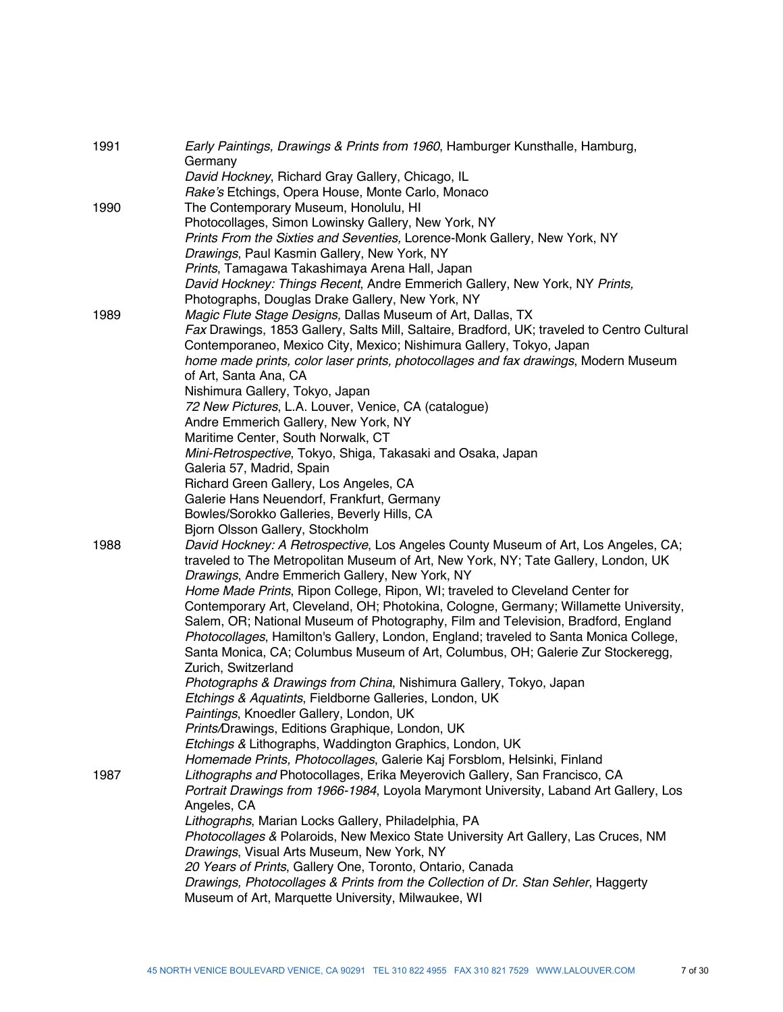| 1991 | Early Paintings, Drawings & Prints from 1960, Hamburger Kunsthalle, Hamburg,                  |
|------|-----------------------------------------------------------------------------------------------|
|      | Germany                                                                                       |
|      | David Hockney, Richard Gray Gallery, Chicago, IL                                              |
|      | Rake's Etchings, Opera House, Monte Carlo, Monaco<br>The Contemporary Museum, Honolulu, HI    |
| 1990 | Photocollages, Simon Lowinsky Gallery, New York, NY                                           |
|      |                                                                                               |
|      | Prints From the Sixties and Seventies, Lorence-Monk Gallery, New York, NY                     |
|      | Drawings, Paul Kasmin Gallery, New York, NY<br>Prints, Tamagawa Takashimaya Arena Hall, Japan |
|      | David Hockney: Things Recent, Andre Emmerich Gallery, New York, NY Prints,                    |
|      | Photographs, Douglas Drake Gallery, New York, NY                                              |
| 1989 | Magic Flute Stage Designs, Dallas Museum of Art, Dallas, TX                                   |
|      | Fax Drawings, 1853 Gallery, Salts Mill, Saltaire, Bradford, UK; traveled to Centro Cultural   |
|      | Contemporaneo, Mexico City, Mexico; Nishimura Gallery, Tokyo, Japan                           |
|      | home made prints, color laser prints, photocollages and fax drawings, Modern Museum           |
|      | of Art, Santa Ana, CA                                                                         |
|      | Nishimura Gallery, Tokyo, Japan                                                               |
|      | 72 New Pictures, L.A. Louver, Venice, CA (catalogue)                                          |
|      | Andre Emmerich Gallery, New York, NY                                                          |
|      | Maritime Center, South Norwalk, CT                                                            |
|      | Mini-Retrospective, Tokyo, Shiga, Takasaki and Osaka, Japan                                   |
|      | Galeria 57, Madrid, Spain                                                                     |
|      | Richard Green Gallery, Los Angeles, CA                                                        |
|      | Galerie Hans Neuendorf, Frankfurt, Germany                                                    |
|      | Bowles/Sorokko Galleries, Beverly Hills, CA                                                   |
|      | Bjorn Olsson Gallery, Stockholm                                                               |
| 1988 | David Hockney: A Retrospective, Los Angeles County Museum of Art, Los Angeles, CA;            |
|      | traveled to The Metropolitan Museum of Art, New York, NY; Tate Gallery, London, UK            |
|      | Drawings, Andre Emmerich Gallery, New York, NY                                                |
|      | Home Made Prints, Ripon College, Ripon, WI; traveled to Cleveland Center for                  |
|      | Contemporary Art, Cleveland, OH; Photokina, Cologne, Germany; Willamette University,          |
|      | Salem, OR; National Museum of Photography, Film and Television, Bradford, England             |
|      | Photocollages, Hamilton's Gallery, London, England; traveled to Santa Monica College,         |
|      | Santa Monica, CA; Columbus Museum of Art, Columbus, OH; Galerie Zur Stockeregg,               |
|      | Zurich, Switzerland                                                                           |
|      | Photographs & Drawings from China, Nishimura Gallery, Tokyo, Japan                            |
|      | Etchings & Aquatints, Fieldborne Galleries, London, UK                                        |
|      | Paintings, Knoedler Gallery, London, UK                                                       |
|      | Prints/Drawings, Editions Graphique, London, UK                                               |
|      | Etchings & Lithographs, Waddington Graphics, London, UK                                       |
|      | Homemade Prints, Photocollages, Galerie Kaj Forsblom, Helsinki, Finland                       |
| 1987 | Lithographs and Photocollages, Erika Meyerovich Gallery, San Francisco, CA                    |
|      | Portrait Drawings from 1966-1984, Loyola Marymont University, Laband Art Gallery, Los         |
|      | Angeles, CA                                                                                   |
|      | Lithographs, Marian Locks Gallery, Philadelphia, PA                                           |
|      | Photocollages & Polaroids, New Mexico State University Art Gallery, Las Cruces, NM            |
|      | Drawings, Visual Arts Museum, New York, NY                                                    |
|      | 20 Years of Prints, Gallery One, Toronto, Ontario, Canada                                     |
|      | Drawings, Photocollages & Prints from the Collection of Dr. Stan Sehler, Haggerty             |
|      | Museum of Art, Marquette University, Milwaukee, WI                                            |
|      |                                                                                               |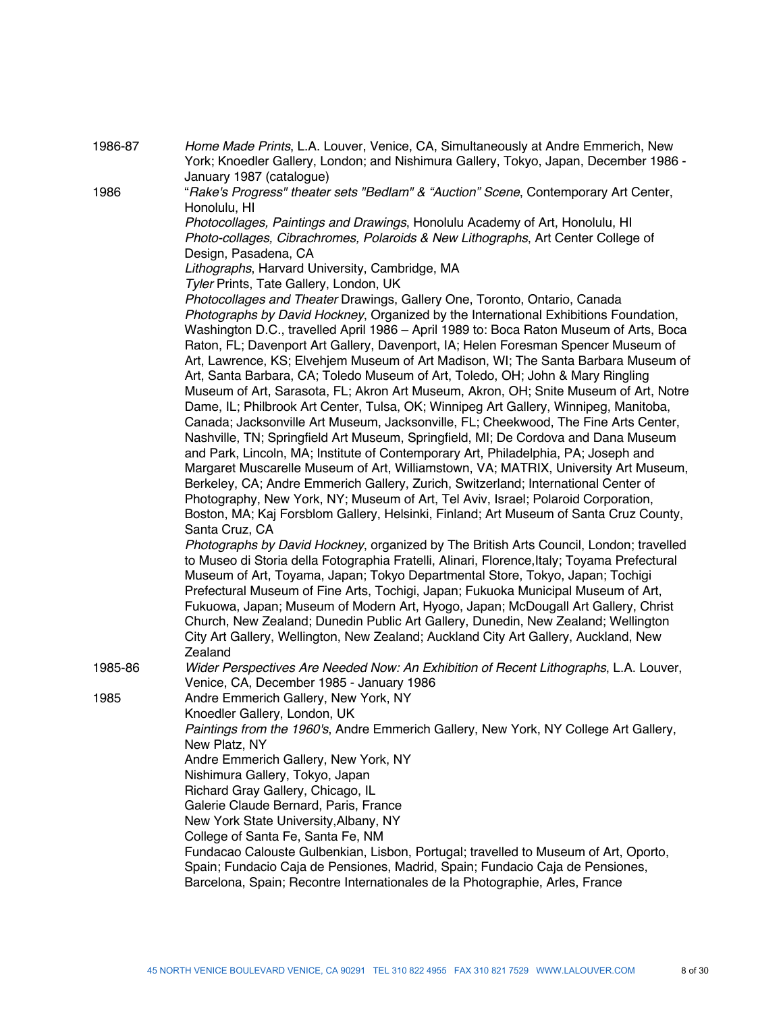| 1986-87 | Home Made Prints, L.A. Louver, Venice, CA, Simultaneously at Andre Emmerich, New            |
|---------|---------------------------------------------------------------------------------------------|
|         | York; Knoedler Gallery, London; and Nishimura Gallery, Tokyo, Japan, December 1986 -        |
|         | January 1987 (catalogue)                                                                    |
| 1986    | "Rake's Progress" theater sets "Bedlam" & "Auction" Scene, Contemporary Art Center,         |
|         | Honolulu, HI                                                                                |
|         | Photocollages, Paintings and Drawings, Honolulu Academy of Art, Honolulu, HI                |
|         | Photo-collages, Cibrachromes, Polaroids & New Lithographs, Art Center College of            |
|         | Design, Pasadena, CA                                                                        |
|         | Lithographs, Harvard University, Cambridge, MA                                              |
|         | Tyler Prints, Tate Gallery, London, UK                                                      |
|         | Photocollages and Theater Drawings, Gallery One, Toronto, Ontario, Canada                   |
|         | Photographs by David Hockney, Organized by the International Exhibitions Foundation,        |
|         | Washington D.C., travelled April 1986 - April 1989 to: Boca Raton Museum of Arts, Boca      |
|         | Raton, FL; Davenport Art Gallery, Davenport, IA; Helen Foresman Spencer Museum of           |
|         | Art, Lawrence, KS; Elvehjem Museum of Art Madison, WI; The Santa Barbara Museum of          |
|         | Art, Santa Barbara, CA; Toledo Museum of Art, Toledo, OH; John & Mary Ringling              |
|         | Museum of Art, Sarasota, FL; Akron Art Museum, Akron, OH; Snite Museum of Art, Notre        |
|         | Dame, IL; Philbrook Art Center, Tulsa, OK; Winnipeg Art Gallery, Winnipeg, Manitoba,        |
|         | Canada; Jacksonville Art Museum, Jacksonville, FL; Cheekwood, The Fine Arts Center,         |
|         | Nashville, TN; Springfield Art Museum, Springfield, MI; De Cordova and Dana Museum          |
|         | and Park, Lincoln, MA; Institute of Contemporary Art, Philadelphia, PA; Joseph and          |
|         | Margaret Muscarelle Museum of Art, Williamstown, VA; MATRIX, University Art Museum,         |
|         | Berkeley, CA; Andre Emmerich Gallery, Zurich, Switzerland; International Center of          |
|         | Photography, New York, NY; Museum of Art, Tel Aviv, Israel; Polaroid Corporation,           |
|         | Boston, MA; Kaj Forsblom Gallery, Helsinki, Finland; Art Museum of Santa Cruz County,       |
|         | Santa Cruz, CA                                                                              |
|         | Photographs by David Hockney, organized by The British Arts Council, London; travelled      |
|         | to Museo di Storia della Fotographia Fratelli, Alinari, Florence, Italy; Toyama Prefectural |
|         | Museum of Art, Toyama, Japan; Tokyo Departmental Store, Tokyo, Japan; Tochigi               |
|         | Prefectural Museum of Fine Arts, Tochigi, Japan; Fukuoka Municipal Museum of Art,           |
|         | Fukuowa, Japan; Museum of Modern Art, Hyogo, Japan; McDougall Art Gallery, Christ           |
|         | Church, New Zealand; Dunedin Public Art Gallery, Dunedin, New Zealand; Wellington           |
|         | City Art Gallery, Wellington, New Zealand; Auckland City Art Gallery, Auckland, New         |
|         | Zealand                                                                                     |
| 1985-86 | Wider Perspectives Are Needed Now: An Exhibition of Recent Lithographs, L.A. Louver,        |
|         | Venice, CA, December 1985 - January 1986                                                    |
| 1985    | Andre Emmerich Gallery, New York, NY                                                        |
|         | Knoedler Gallery, London, UK                                                                |
|         | Paintings from the 1960's, Andre Emmerich Gallery, New York, NY College Art Gallery,        |
|         | New Platz, NY                                                                               |
|         | Andre Emmerich Gallery, New York, NY                                                        |
|         | Nishimura Gallery, Tokyo, Japan                                                             |
|         | Richard Gray Gallery, Chicago, IL                                                           |
|         | Galerie Claude Bernard, Paris, France                                                       |
|         | New York State University, Albany, NY                                                       |
|         | College of Santa Fe, Santa Fe, NM                                                           |
|         | Fundacao Calouste Gulbenkian, Lisbon, Portugal; travelled to Museum of Art, Oporto,         |
|         | Spain; Fundacio Caja de Pensiones, Madrid, Spain; Fundacio Caja de Pensiones,               |
|         | Barcelona, Spain; Recontre Internationales de la Photographie, Arles, France                |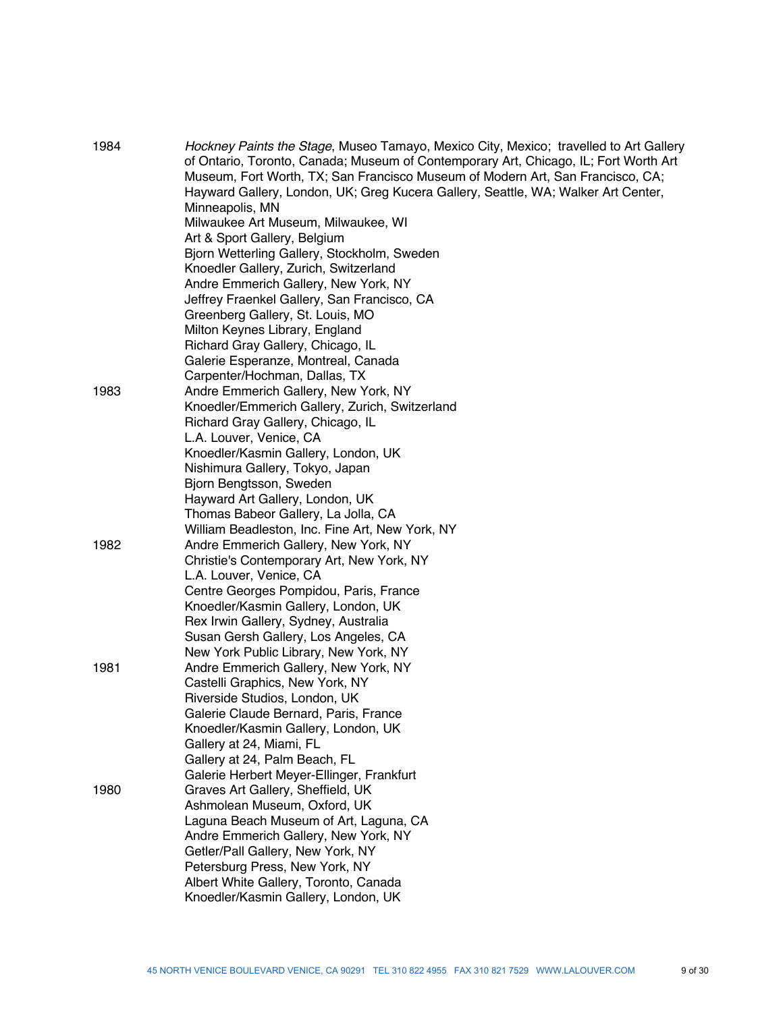| 1984 | Hockney Paints the Stage, Museo Tamayo, Mexico City, Mexico; travelled to Art Gallery<br>of Ontario, Toronto, Canada; Museum of Contemporary Art, Chicago, IL; Fort Worth Art<br>Museum, Fort Worth, TX; San Francisco Museum of Modern Art, San Francisco, CA;<br>Hayward Gallery, London, UK; Greg Kucera Gallery, Seattle, WA; Walker Art Center,<br>Minneapolis, MN<br>Milwaukee Art Museum, Milwaukee, WI<br>Art & Sport Gallery, Belgium<br>Bjorn Wetterling Gallery, Stockholm, Sweden<br>Knoedler Gallery, Zurich, Switzerland<br>Andre Emmerich Gallery, New York, NY<br>Jeffrey Fraenkel Gallery, San Francisco, CA<br>Greenberg Gallery, St. Louis, MO |
|------|-------------------------------------------------------------------------------------------------------------------------------------------------------------------------------------------------------------------------------------------------------------------------------------------------------------------------------------------------------------------------------------------------------------------------------------------------------------------------------------------------------------------------------------------------------------------------------------------------------------------------------------------------------------------|
|      | Milton Keynes Library, England<br>Richard Gray Gallery, Chicago, IL                                                                                                                                                                                                                                                                                                                                                                                                                                                                                                                                                                                               |
|      | Galerie Esperanze, Montreal, Canada                                                                                                                                                                                                                                                                                                                                                                                                                                                                                                                                                                                                                               |
| 1983 | Carpenter/Hochman, Dallas, TX<br>Andre Emmerich Gallery, New York, NY                                                                                                                                                                                                                                                                                                                                                                                                                                                                                                                                                                                             |
|      | Knoedler/Emmerich Gallery, Zurich, Switzerland                                                                                                                                                                                                                                                                                                                                                                                                                                                                                                                                                                                                                    |
|      | Richard Gray Gallery, Chicago, IL                                                                                                                                                                                                                                                                                                                                                                                                                                                                                                                                                                                                                                 |
|      | L.A. Louver, Venice, CA                                                                                                                                                                                                                                                                                                                                                                                                                                                                                                                                                                                                                                           |
|      | Knoedler/Kasmin Gallery, London, UK                                                                                                                                                                                                                                                                                                                                                                                                                                                                                                                                                                                                                               |
|      | Nishimura Gallery, Tokyo, Japan                                                                                                                                                                                                                                                                                                                                                                                                                                                                                                                                                                                                                                   |
|      | Bjorn Bengtsson, Sweden                                                                                                                                                                                                                                                                                                                                                                                                                                                                                                                                                                                                                                           |
|      | Hayward Art Gallery, London, UK                                                                                                                                                                                                                                                                                                                                                                                                                                                                                                                                                                                                                                   |
|      | Thomas Babeor Gallery, La Jolla, CA                                                                                                                                                                                                                                                                                                                                                                                                                                                                                                                                                                                                                               |
|      | William Beadleston, Inc. Fine Art, New York, NY                                                                                                                                                                                                                                                                                                                                                                                                                                                                                                                                                                                                                   |
| 1982 | Andre Emmerich Gallery, New York, NY                                                                                                                                                                                                                                                                                                                                                                                                                                                                                                                                                                                                                              |
|      | Christie's Contemporary Art, New York, NY                                                                                                                                                                                                                                                                                                                                                                                                                                                                                                                                                                                                                         |
|      | L.A. Louver, Venice, CA                                                                                                                                                                                                                                                                                                                                                                                                                                                                                                                                                                                                                                           |
|      | Centre Georges Pompidou, Paris, France                                                                                                                                                                                                                                                                                                                                                                                                                                                                                                                                                                                                                            |
|      | Knoedler/Kasmin Gallery, London, UK                                                                                                                                                                                                                                                                                                                                                                                                                                                                                                                                                                                                                               |
|      | Rex Irwin Gallery, Sydney, Australia                                                                                                                                                                                                                                                                                                                                                                                                                                                                                                                                                                                                                              |
|      | Susan Gersh Gallery, Los Angeles, CA                                                                                                                                                                                                                                                                                                                                                                                                                                                                                                                                                                                                                              |
| 1981 | New York Public Library, New York, NY                                                                                                                                                                                                                                                                                                                                                                                                                                                                                                                                                                                                                             |
|      | Andre Emmerich Gallery, New York, NY<br>Castelli Graphics, New York, NY                                                                                                                                                                                                                                                                                                                                                                                                                                                                                                                                                                                           |
|      | Riverside Studios, London, UK                                                                                                                                                                                                                                                                                                                                                                                                                                                                                                                                                                                                                                     |
|      | Galerie Claude Bernard, Paris, France                                                                                                                                                                                                                                                                                                                                                                                                                                                                                                                                                                                                                             |
|      | Knoedler/Kasmin Gallery, London, UK                                                                                                                                                                                                                                                                                                                                                                                                                                                                                                                                                                                                                               |
|      | Gallery at 24, Miami, FL                                                                                                                                                                                                                                                                                                                                                                                                                                                                                                                                                                                                                                          |
|      | Gallery at 24, Palm Beach, FL                                                                                                                                                                                                                                                                                                                                                                                                                                                                                                                                                                                                                                     |
|      | Galerie Herbert Meyer-Ellinger, Frankfurt                                                                                                                                                                                                                                                                                                                                                                                                                                                                                                                                                                                                                         |
| 1980 | Graves Art Gallery, Sheffield, UK                                                                                                                                                                                                                                                                                                                                                                                                                                                                                                                                                                                                                                 |
|      | Ashmolean Museum, Oxford, UK                                                                                                                                                                                                                                                                                                                                                                                                                                                                                                                                                                                                                                      |
|      | Laguna Beach Museum of Art, Laguna, CA                                                                                                                                                                                                                                                                                                                                                                                                                                                                                                                                                                                                                            |
|      | Andre Emmerich Gallery, New York, NY                                                                                                                                                                                                                                                                                                                                                                                                                                                                                                                                                                                                                              |
|      | Getler/Pall Gallery, New York, NY                                                                                                                                                                                                                                                                                                                                                                                                                                                                                                                                                                                                                                 |
|      | Petersburg Press, New York, NY                                                                                                                                                                                                                                                                                                                                                                                                                                                                                                                                                                                                                                    |
|      | Albert White Gallery, Toronto, Canada                                                                                                                                                                                                                                                                                                                                                                                                                                                                                                                                                                                                                             |
|      | Knoedler/Kasmin Gallery, London, UK                                                                                                                                                                                                                                                                                                                                                                                                                                                                                                                                                                                                                               |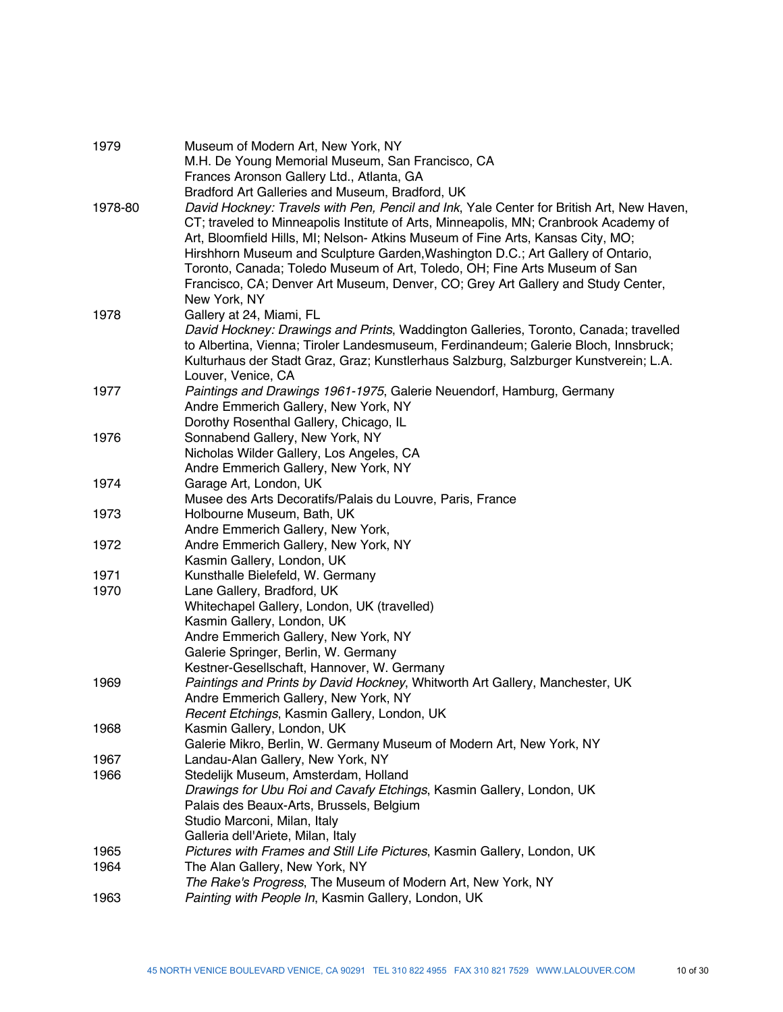| 1979    | Museum of Modern Art, New York, NY<br>M.H. De Young Memorial Museum, San Francisco, CA<br>Frances Aronson Gallery Ltd., Atlanta, GA                                                                                                                                                                                                                  |
|---------|------------------------------------------------------------------------------------------------------------------------------------------------------------------------------------------------------------------------------------------------------------------------------------------------------------------------------------------------------|
| 1978-80 | Bradford Art Galleries and Museum, Bradford, UK<br>David Hockney: Travels with Pen, Pencil and Ink, Yale Center for British Art, New Haven,<br>CT; traveled to Minneapolis Institute of Arts, Minneapolis, MN; Cranbrook Academy of                                                                                                                  |
|         | Art, Bloomfield Hills, MI; Nelson- Atkins Museum of Fine Arts, Kansas City, MO;<br>Hirshhorn Museum and Sculpture Garden, Washington D.C.; Art Gallery of Ontario,<br>Toronto, Canada; Toledo Museum of Art, Toledo, OH; Fine Arts Museum of San<br>Francisco, CA; Denver Art Museum, Denver, CO; Grey Art Gallery and Study Center,<br>New York, NY |
| 1978    | Gallery at 24, Miami, FL<br>David Hockney: Drawings and Prints, Waddington Galleries, Toronto, Canada; travelled<br>to Albertina, Vienna; Tiroler Landesmuseum, Ferdinandeum; Galerie Bloch, Innsbruck;<br>Kulturhaus der Stadt Graz, Graz; Kunstlerhaus Salzburg, Salzburger Kunstverein; L.A.                                                      |
| 1977    | Louver, Venice, CA<br>Paintings and Drawings 1961-1975, Galerie Neuendorf, Hamburg, Germany                                                                                                                                                                                                                                                          |
|         | Andre Emmerich Gallery, New York, NY                                                                                                                                                                                                                                                                                                                 |
|         | Dorothy Rosenthal Gallery, Chicago, IL                                                                                                                                                                                                                                                                                                               |
| 1976    | Sonnabend Gallery, New York, NY                                                                                                                                                                                                                                                                                                                      |
|         | Nicholas Wilder Gallery, Los Angeles, CA                                                                                                                                                                                                                                                                                                             |
|         | Andre Emmerich Gallery, New York, NY                                                                                                                                                                                                                                                                                                                 |
| 1974    | Garage Art, London, UK                                                                                                                                                                                                                                                                                                                               |
|         | Musee des Arts Decoratifs/Palais du Louvre, Paris, France                                                                                                                                                                                                                                                                                            |
| 1973    | Holbourne Museum, Bath, UK                                                                                                                                                                                                                                                                                                                           |
|         | Andre Emmerich Gallery, New York,                                                                                                                                                                                                                                                                                                                    |
| 1972    | Andre Emmerich Gallery, New York, NY                                                                                                                                                                                                                                                                                                                 |
|         | Kasmin Gallery, London, UK                                                                                                                                                                                                                                                                                                                           |
| 1971    | Kunsthalle Bielefeld, W. Germany                                                                                                                                                                                                                                                                                                                     |
| 1970    | Lane Gallery, Bradford, UK                                                                                                                                                                                                                                                                                                                           |
|         | Whitechapel Gallery, London, UK (travelled)                                                                                                                                                                                                                                                                                                          |
|         | Kasmin Gallery, London, UK                                                                                                                                                                                                                                                                                                                           |
|         | Andre Emmerich Gallery, New York, NY                                                                                                                                                                                                                                                                                                                 |
|         | Galerie Springer, Berlin, W. Germany                                                                                                                                                                                                                                                                                                                 |
|         | Kestner-Gesellschaft, Hannover, W. Germany                                                                                                                                                                                                                                                                                                           |
| 1969    | Paintings and Prints by David Hockney, Whitworth Art Gallery, Manchester, UK                                                                                                                                                                                                                                                                         |
|         | Andre Emmerich Gallery, New York, NY                                                                                                                                                                                                                                                                                                                 |
|         | Recent Etchings, Kasmin Gallery, London, UK                                                                                                                                                                                                                                                                                                          |
| 1968    | Kasmin Gallery, London, UK                                                                                                                                                                                                                                                                                                                           |
|         | Galerie Mikro, Berlin, W. Germany Museum of Modern Art, New York, NY                                                                                                                                                                                                                                                                                 |
| 1967    | Landau-Alan Gallery, New York, NY                                                                                                                                                                                                                                                                                                                    |
| 1966    | Stedelijk Museum, Amsterdam, Holland                                                                                                                                                                                                                                                                                                                 |
|         | Drawings for Ubu Roi and Cavafy Etchings, Kasmin Gallery, London, UK                                                                                                                                                                                                                                                                                 |
|         | Palais des Beaux-Arts, Brussels, Belgium                                                                                                                                                                                                                                                                                                             |
|         | Studio Marconi, Milan, Italy                                                                                                                                                                                                                                                                                                                         |
|         | Galleria dell'Ariete, Milan, Italy                                                                                                                                                                                                                                                                                                                   |
| 1965    | Pictures with Frames and Still Life Pictures, Kasmin Gallery, London, UK                                                                                                                                                                                                                                                                             |
| 1964    | The Alan Gallery, New York, NY                                                                                                                                                                                                                                                                                                                       |
|         | The Rake's Progress, The Museum of Modern Art, New York, NY                                                                                                                                                                                                                                                                                          |
| 1963    | Painting with People In, Kasmin Gallery, London, UK                                                                                                                                                                                                                                                                                                  |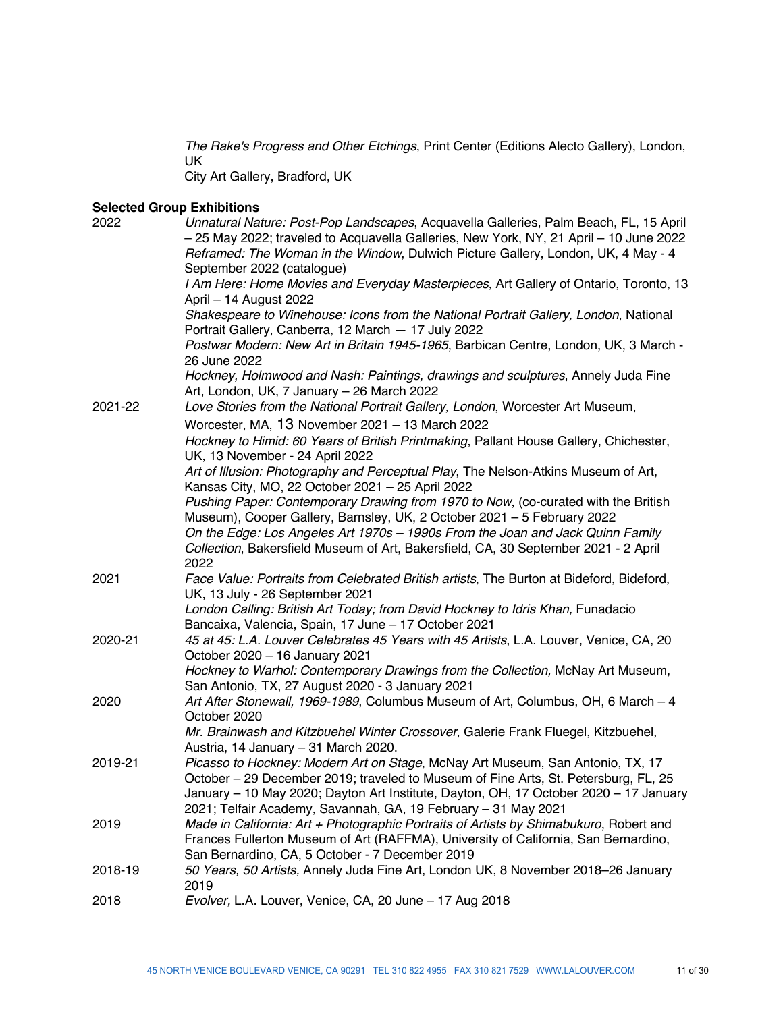*The Rake's Progress and Other Etchings*, Print Center (Editions Alecto Gallery), London, UK

City Art Gallery, Bradford, UK

#### **Selected Group Exhibitions**

| 2022    | Unnatural Nature: Post-Pop Landscapes, Acquavella Galleries, Palm Beach, FL, 15 April<br>- 25 May 2022; traveled to Acquavella Galleries, New York, NY, 21 April - 10 June 2022<br>Reframed: The Woman in the Window, Dulwich Picture Gallery, London, UK, 4 May - 4<br>September 2022 (catalogue) |
|---------|----------------------------------------------------------------------------------------------------------------------------------------------------------------------------------------------------------------------------------------------------------------------------------------------------|
|         | I Am Here: Home Movies and Everyday Masterpieces, Art Gallery of Ontario, Toronto, 13<br>April - 14 August 2022                                                                                                                                                                                    |
|         | Shakespeare to Winehouse: Icons from the National Portrait Gallery, London, National<br>Portrait Gallery, Canberra, 12 March - 17 July 2022                                                                                                                                                        |
|         | Postwar Modern: New Art in Britain 1945-1965, Barbican Centre, London, UK, 3 March -<br>26 June 2022                                                                                                                                                                                               |
|         | Hockney, Holmwood and Nash: Paintings, drawings and sculptures, Annely Juda Fine<br>Art, London, UK, 7 January - 26 March 2022                                                                                                                                                                     |
| 2021-22 | Love Stories from the National Portrait Gallery, London, Worcester Art Museum,                                                                                                                                                                                                                     |
|         | Worcester, MA, 13 November 2021 - 13 March 2022                                                                                                                                                                                                                                                    |
|         | Hockney to Himid: 60 Years of British Printmaking, Pallant House Gallery, Chichester,<br>UK, 13 November - 24 April 2022                                                                                                                                                                           |
|         | Art of Illusion: Photography and Perceptual Play, The Nelson-Atkins Museum of Art,<br>Kansas City, MO, 22 October 2021 - 25 April 2022                                                                                                                                                             |
|         | Pushing Paper: Contemporary Drawing from 1970 to Now, (co-curated with the British<br>Museum), Cooper Gallery, Barnsley, UK, 2 October 2021 - 5 February 2022                                                                                                                                      |
|         | On the Edge: Los Angeles Art 1970s - 1990s From the Joan and Jack Quinn Family<br>Collection, Bakersfield Museum of Art, Bakersfield, CA, 30 September 2021 - 2 April                                                                                                                              |
|         | 2022                                                                                                                                                                                                                                                                                               |
| 2021    | Face Value: Portraits from Celebrated British artists, The Burton at Bideford, Bideford,<br>UK, 13 July - 26 September 2021                                                                                                                                                                        |
|         | London Calling: British Art Today; from David Hockney to Idris Khan, Funadacio<br>Bancaixa, Valencia, Spain, 17 June - 17 October 2021                                                                                                                                                             |
| 2020-21 | 45 at 45: L.A. Louver Celebrates 45 Years with 45 Artists, L.A. Louver, Venice, CA, 20<br>October 2020 - 16 January 2021                                                                                                                                                                           |
|         | Hockney to Warhol: Contemporary Drawings from the Collection, McNay Art Museum,<br>San Antonio, TX, 27 August 2020 - 3 January 2021                                                                                                                                                                |
| 2020    | Art After Stonewall, 1969-1989, Columbus Museum of Art, Columbus, OH, 6 March - 4<br>October 2020                                                                                                                                                                                                  |
|         | Mr. Brainwash and Kitzbuehel Winter Crossover, Galerie Frank Fluegel, Kitzbuehel,                                                                                                                                                                                                                  |
| 2019-21 | Austria, 14 January - 31 March 2020.<br>Picasso to Hockney: Modern Art on Stage, McNay Art Museum, San Antonio, TX, 17                                                                                                                                                                             |
|         | October - 29 December 2019; traveled to Museum of Fine Arts, St. Petersburg, FL, 25<br>January - 10 May 2020; Dayton Art Institute, Dayton, OH, 17 October 2020 - 17 January<br>2021; Telfair Academy, Savannah, GA, 19 February - 31 May 2021                                                     |
| 2019    | Made in California: Art + Photographic Portraits of Artists by Shimabukuro, Robert and                                                                                                                                                                                                             |
|         | Frances Fullerton Museum of Art (RAFFMA), University of California, San Bernardino,                                                                                                                                                                                                                |
| 2018-19 | San Bernardino, CA, 5 October - 7 December 2019<br>50 Years, 50 Artists, Annely Juda Fine Art, London UK, 8 November 2018-26 January                                                                                                                                                               |
|         | 2019                                                                                                                                                                                                                                                                                               |
| 2018    | Evolver, L.A. Louver, Venice, CA, 20 June - 17 Aug 2018                                                                                                                                                                                                                                            |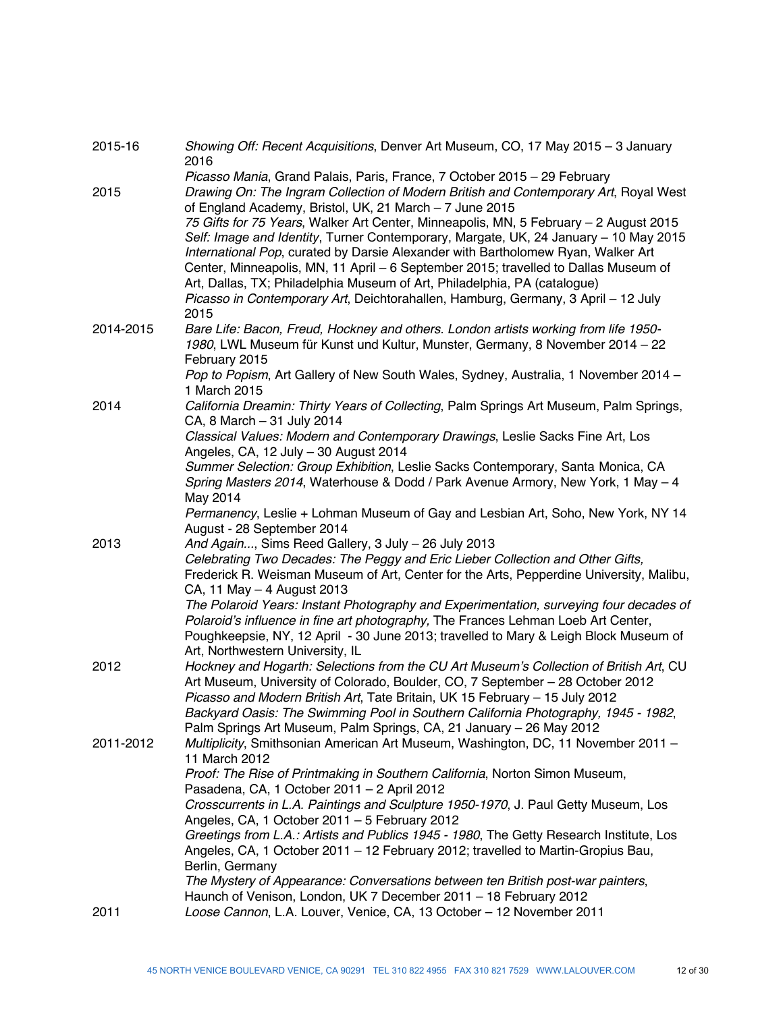| 2015-16   | Showing Off: Recent Acquisitions, Denver Art Museum, CO, 17 May 2015 - 3 January<br>2016                                                                                                                                                                                                                                                                 |
|-----------|----------------------------------------------------------------------------------------------------------------------------------------------------------------------------------------------------------------------------------------------------------------------------------------------------------------------------------------------------------|
| 2015      | Picasso Mania, Grand Palais, Paris, France, 7 October 2015 - 29 February<br>Drawing On: The Ingram Collection of Modern British and Contemporary Art, Royal West<br>of England Academy, Bristol, UK, 21 March - 7 June 2015                                                                                                                              |
|           | 75 Gifts for 75 Years, Walker Art Center, Minneapolis, MN, 5 February - 2 August 2015<br>Self: Image and Identity, Turner Contemporary, Margate, UK, 24 January - 10 May 2015<br>International Pop, curated by Darsie Alexander with Bartholomew Ryan, Walker Art<br>Center, Minneapolis, MN, 11 April - 6 September 2015; travelled to Dallas Museum of |
|           | Art, Dallas, TX; Philadelphia Museum of Art, Philadelphia, PA (catalogue)<br>Picasso in Contemporary Art, Deichtorahallen, Hamburg, Germany, 3 April - 12 July<br>2015                                                                                                                                                                                   |
| 2014-2015 | Bare Life: Bacon, Freud, Hockney and others. London artists working from life 1950-<br>1980, LWL Museum für Kunst und Kultur, Munster, Germany, 8 November 2014 - 22<br>February 2015                                                                                                                                                                    |
|           | Pop to Popism, Art Gallery of New South Wales, Sydney, Australia, 1 November 2014 -<br>1 March 2015                                                                                                                                                                                                                                                      |
| 2014      | California Dreamin: Thirty Years of Collecting, Palm Springs Art Museum, Palm Springs,<br>CA, 8 March - 31 July 2014                                                                                                                                                                                                                                     |
|           | Classical Values: Modern and Contemporary Drawings, Leslie Sacks Fine Art, Los<br>Angeles, CA, 12 July - 30 August 2014                                                                                                                                                                                                                                  |
|           | Summer Selection: Group Exhibition, Leslie Sacks Contemporary, Santa Monica, CA<br>Spring Masters 2014, Waterhouse & Dodd / Park Avenue Armory, New York, 1 May - 4<br>May 2014                                                                                                                                                                          |
|           | Permanency, Leslie + Lohman Museum of Gay and Lesbian Art, Soho, New York, NY 14<br>August - 28 September 2014                                                                                                                                                                                                                                           |
| 2013      | And Again, Sims Reed Gallery, 3 July - 26 July 2013                                                                                                                                                                                                                                                                                                      |
|           | Celebrating Two Decades: The Peggy and Eric Lieber Collection and Other Gifts,<br>Frederick R. Weisman Museum of Art, Center for the Arts, Pepperdine University, Malibu,<br>CA, 11 May - 4 August 2013                                                                                                                                                  |
|           | The Polaroid Years: Instant Photography and Experimentation, surveying four decades of<br>Polaroid's influence in fine art photography, The Frances Lehman Loeb Art Center,<br>Poughkeepsie, NY, 12 April - 30 June 2013; travelled to Mary & Leigh Block Museum of<br>Art, Northwestern University, IL                                                  |
| 2012      | Hockney and Hogarth: Selections from the CU Art Museum's Collection of British Art, CU<br>Art Museum, University of Colorado, Boulder, CO, 7 September - 28 October 2012<br>Picasso and Modern British Art, Tate Britain, UK 15 February - 15 July 2012<br>Backyard Oasis: The Swimming Pool in Southern California Photography, 1945 - 1982,            |
| 2011-2012 | Palm Springs Art Museum, Palm Springs, CA, 21 January - 26 May 2012<br>Multiplicity, Smithsonian American Art Museum, Washington, DC, 11 November 2011 -<br>11 March 2012                                                                                                                                                                                |
|           | Proof: The Rise of Printmaking in Southern California, Norton Simon Museum,<br>Pasadena, CA, 1 October 2011 - 2 April 2012                                                                                                                                                                                                                               |
|           | Crosscurrents in L.A. Paintings and Sculpture 1950-1970, J. Paul Getty Museum, Los<br>Angeles, CA, 1 October 2011 - 5 February 2012                                                                                                                                                                                                                      |
|           | Greetings from L.A.: Artists and Publics 1945 - 1980, The Getty Research Institute, Los<br>Angeles, CA, 1 October 2011 - 12 February 2012; travelled to Martin-Gropius Bau,<br>Berlin, Germany                                                                                                                                                           |
|           | The Mystery of Appearance: Conversations between ten British post-war painters,<br>Haunch of Venison, London, UK 7 December 2011 - 18 February 2012                                                                                                                                                                                                      |
| 2011      | Loose Cannon, L.A. Louver, Venice, CA, 13 October - 12 November 2011                                                                                                                                                                                                                                                                                     |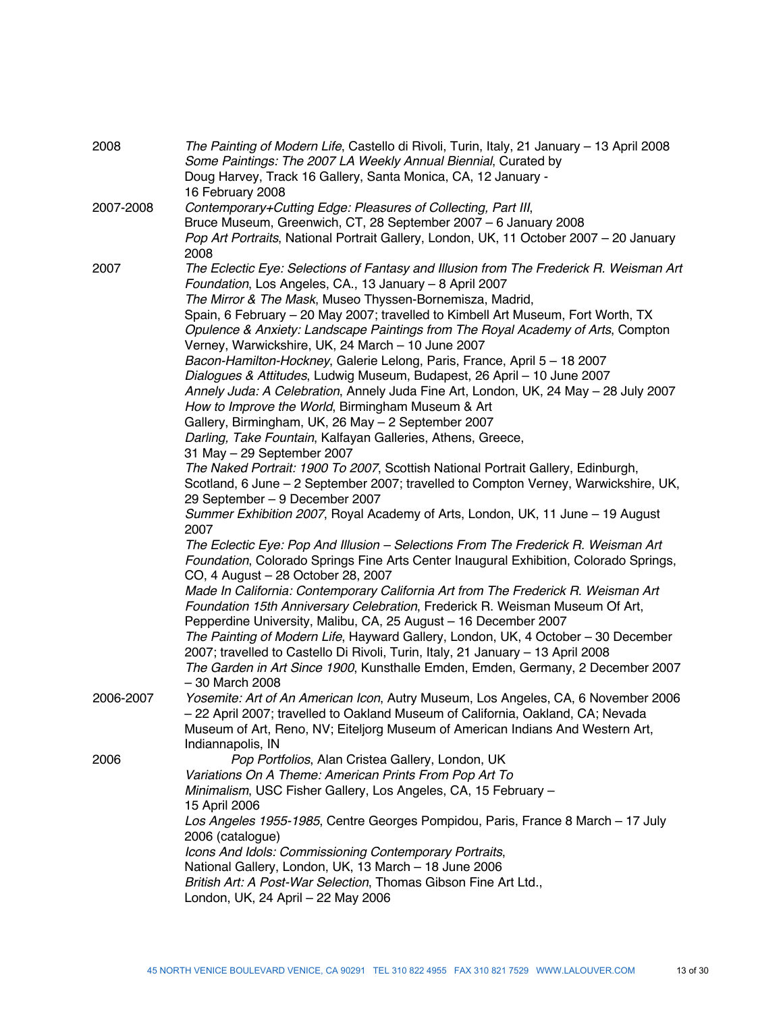| 2008      | The Painting of Modern Life, Castello di Rivoli, Turin, Italy, 21 January - 13 April 2008<br>Some Paintings: The 2007 LA Weekly Annual Biennial, Curated by<br>Doug Harvey, Track 16 Gallery, Santa Monica, CA, 12 January -<br>16 February 2008 |
|-----------|--------------------------------------------------------------------------------------------------------------------------------------------------------------------------------------------------------------------------------------------------|
| 2007-2008 | Contemporary+Cutting Edge: Pleasures of Collecting, Part III,                                                                                                                                                                                    |
|           | Bruce Museum, Greenwich, CT, 28 September 2007 - 6 January 2008                                                                                                                                                                                  |
|           | Pop Art Portraits, National Portrait Gallery, London, UK, 11 October 2007 - 20 January                                                                                                                                                           |
|           | 2008                                                                                                                                                                                                                                             |
| 2007      | The Eclectic Eye: Selections of Fantasy and Illusion from The Frederick R. Weisman Art                                                                                                                                                           |
|           |                                                                                                                                                                                                                                                  |
|           | Foundation, Los Angeles, CA., 13 January - 8 April 2007                                                                                                                                                                                          |
|           | The Mirror & The Mask, Museo Thyssen-Bornemisza, Madrid,                                                                                                                                                                                         |
|           | Spain, 6 February - 20 May 2007; travelled to Kimbell Art Museum, Fort Worth, TX                                                                                                                                                                 |
|           | Opulence & Anxiety: Landscape Paintings from The Royal Academy of Arts, Compton                                                                                                                                                                  |
|           | Verney, Warwickshire, UK, 24 March - 10 June 2007                                                                                                                                                                                                |
|           | Bacon-Hamilton-Hockney, Galerie Lelong, Paris, France, April 5 - 18 2007                                                                                                                                                                         |
|           | Dialogues & Attitudes, Ludwig Museum, Budapest, 26 April - 10 June 2007                                                                                                                                                                          |
|           | Annely Juda: A Celebration, Annely Juda Fine Art, London, UK, 24 May - 28 July 2007                                                                                                                                                              |
|           | How to Improve the World, Birmingham Museum & Art                                                                                                                                                                                                |
|           | Gallery, Birmingham, UK, 26 May - 2 September 2007                                                                                                                                                                                               |
|           | Darling, Take Fountain, Kalfayan Galleries, Athens, Greece,                                                                                                                                                                                      |
|           | 31 May - 29 September 2007                                                                                                                                                                                                                       |
|           | The Naked Portrait: 1900 To 2007, Scottish National Portrait Gallery, Edinburgh,                                                                                                                                                                 |
|           | Scotland, 6 June - 2 September 2007; travelled to Compton Verney, Warwickshire, UK,                                                                                                                                                              |
|           | 29 September - 9 December 2007                                                                                                                                                                                                                   |
|           | Summer Exhibition 2007, Royal Academy of Arts, London, UK, 11 June - 19 August<br>2007                                                                                                                                                           |
|           | The Eclectic Eye: Pop And Illusion - Selections From The Frederick R. Weisman Art                                                                                                                                                                |
|           | Foundation, Colorado Springs Fine Arts Center Inaugural Exhibition, Colorado Springs,                                                                                                                                                            |
|           | CO, 4 August - 28 October 28, 2007                                                                                                                                                                                                               |
|           | Made In California: Contemporary California Art from The Frederick R. Weisman Art                                                                                                                                                                |
|           | Foundation 15th Anniversary Celebration, Frederick R. Weisman Museum Of Art,                                                                                                                                                                     |
|           | Pepperdine University, Malibu, CA, 25 August - 16 December 2007                                                                                                                                                                                  |
|           | The Painting of Modern Life, Hayward Gallery, London, UK, 4 October - 30 December                                                                                                                                                                |
|           | 2007; travelled to Castello Di Rivoli, Turin, Italy, 21 January - 13 April 2008                                                                                                                                                                  |
|           | The Garden in Art Since 1900, Kunsthalle Emden, Emden, Germany, 2 December 2007                                                                                                                                                                  |
|           | $-30$ March 2008                                                                                                                                                                                                                                 |
| 2006-2007 | Yosemite: Art of An American Icon, Autry Museum, Los Angeles, CA, 6 November 2006                                                                                                                                                                |
|           | - 22 April 2007; travelled to Oakland Museum of California, Oakland, CA; Nevada                                                                                                                                                                  |
|           | Museum of Art, Reno, NV; Eiteljorg Museum of American Indians And Western Art,                                                                                                                                                                   |
|           | Indiannapolis, IN                                                                                                                                                                                                                                |
| 2006      | Pop Portfolios, Alan Cristea Gallery, London, UK                                                                                                                                                                                                 |
|           | Variations On A Theme: American Prints From Pop Art To                                                                                                                                                                                           |
|           | Minimalism, USC Fisher Gallery, Los Angeles, CA, 15 February -                                                                                                                                                                                   |
|           | 15 April 2006                                                                                                                                                                                                                                    |
|           | Los Angeles 1955-1985, Centre Georges Pompidou, Paris, France 8 March - 17 July                                                                                                                                                                  |
|           | 2006 (catalogue)                                                                                                                                                                                                                                 |
|           | Icons And Idols: Commissioning Contemporary Portraits,                                                                                                                                                                                           |
|           | National Gallery, London, UK, 13 March - 18 June 2006                                                                                                                                                                                            |
|           | British Art: A Post-War Selection, Thomas Gibson Fine Art Ltd.,                                                                                                                                                                                  |
|           | London, UK, 24 April - 22 May 2006                                                                                                                                                                                                               |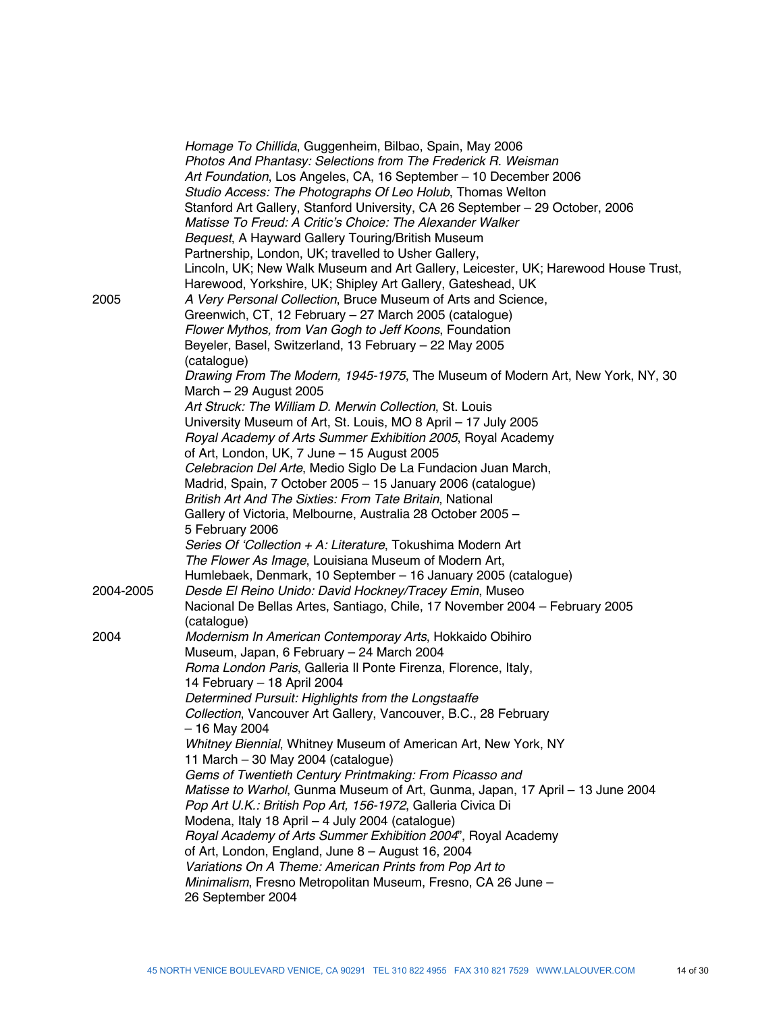|           | Homage To Chillida, Guggenheim, Bilbao, Spain, May 2006<br>Photos And Phantasy: Selections from The Frederick R. Weisman<br>Art Foundation, Los Angeles, CA, 16 September - 10 December 2006<br>Studio Access: The Photographs Of Leo Holub, Thomas Welton<br>Stanford Art Gallery, Stanford University, CA 26 September - 29 October, 2006<br>Matisse To Freud: A Critic's Choice: The Alexander Walker<br>Bequest, A Hayward Gallery Touring/British Museum<br>Partnership, London, UK; travelled to Usher Gallery,<br>Lincoln, UK; New Walk Museum and Art Gallery, Leicester, UK; Harewood House Trust, |
|-----------|-------------------------------------------------------------------------------------------------------------------------------------------------------------------------------------------------------------------------------------------------------------------------------------------------------------------------------------------------------------------------------------------------------------------------------------------------------------------------------------------------------------------------------------------------------------------------------------------------------------|
| 2005      | Harewood, Yorkshire, UK; Shipley Art Gallery, Gateshead, UK<br>A Very Personal Collection, Bruce Museum of Arts and Science,<br>Greenwich, CT, 12 February - 27 March 2005 (catalogue)<br>Flower Mythos, from Van Gogh to Jeff Koons, Foundation<br>Beyeler, Basel, Switzerland, 13 February - 22 May 2005<br>(catalogue)                                                                                                                                                                                                                                                                                   |
|           | Drawing From The Modern, 1945-1975, The Museum of Modern Art, New York, NY, 30<br>March $-29$ August 2005                                                                                                                                                                                                                                                                                                                                                                                                                                                                                                   |
|           | Art Struck: The William D. Merwin Collection, St. Louis<br>University Museum of Art, St. Louis, MO 8 April - 17 July 2005<br>Royal Academy of Arts Summer Exhibition 2005, Royal Academy                                                                                                                                                                                                                                                                                                                                                                                                                    |
|           | of Art, London, UK, 7 June - 15 August 2005<br>Celebracion Del Arte, Medio Siglo De La Fundacion Juan March,<br>Madrid, Spain, 7 October 2005 - 15 January 2006 (catalogue)<br>British Art And The Sixties: From Tate Britain, National<br>Gallery of Victoria, Melbourne, Australia 28 October 2005 -<br>5 February 2006                                                                                                                                                                                                                                                                                   |
|           | Series Of 'Collection + A: Literature, Tokushima Modern Art<br>The Flower As Image, Louisiana Museum of Modern Art,<br>Humlebaek, Denmark, 10 September - 16 January 2005 (catalogue)                                                                                                                                                                                                                                                                                                                                                                                                                       |
| 2004-2005 | Desde El Reino Unido: David Hockney/Tracey Emin, Museo<br>Nacional De Bellas Artes, Santiago, Chile, 17 November 2004 - February 2005<br>(catalogue)                                                                                                                                                                                                                                                                                                                                                                                                                                                        |
| 2004      | Modernism In American Contemporay Arts, Hokkaido Obihiro<br>Museum, Japan, 6 February - 24 March 2004<br>Roma London Paris, Galleria II Ponte Firenza, Florence, Italy,                                                                                                                                                                                                                                                                                                                                                                                                                                     |
|           | 14 February - 18 April 2004<br>Determined Pursuit: Highlights from the Longstaaffe<br>Collection, Vancouver Art Gallery, Vancouver, B.C., 28 February<br>- 16 May 2004                                                                                                                                                                                                                                                                                                                                                                                                                                      |
|           | Whitney Biennial, Whitney Museum of American Art, New York, NY<br>11 March - 30 May 2004 (catalogue)<br>Gems of Twentieth Century Printmaking: From Picasso and                                                                                                                                                                                                                                                                                                                                                                                                                                             |
|           | Matisse to Warhol, Gunma Museum of Art, Gunma, Japan, 17 April - 13 June 2004<br>Pop Art U.K.: British Pop Art, 156-1972, Galleria Civica Di<br>Modena, Italy 18 April - 4 July 2004 (catalogue)<br>Royal Academy of Arts Summer Exhibition 2004", Royal Academy                                                                                                                                                                                                                                                                                                                                            |
|           | of Art, London, England, June 8 - August 16, 2004<br>Variations On A Theme: American Prints from Pop Art to<br>Minimalism, Fresno Metropolitan Museum, Fresno, CA 26 June -<br>26 September 2004                                                                                                                                                                                                                                                                                                                                                                                                            |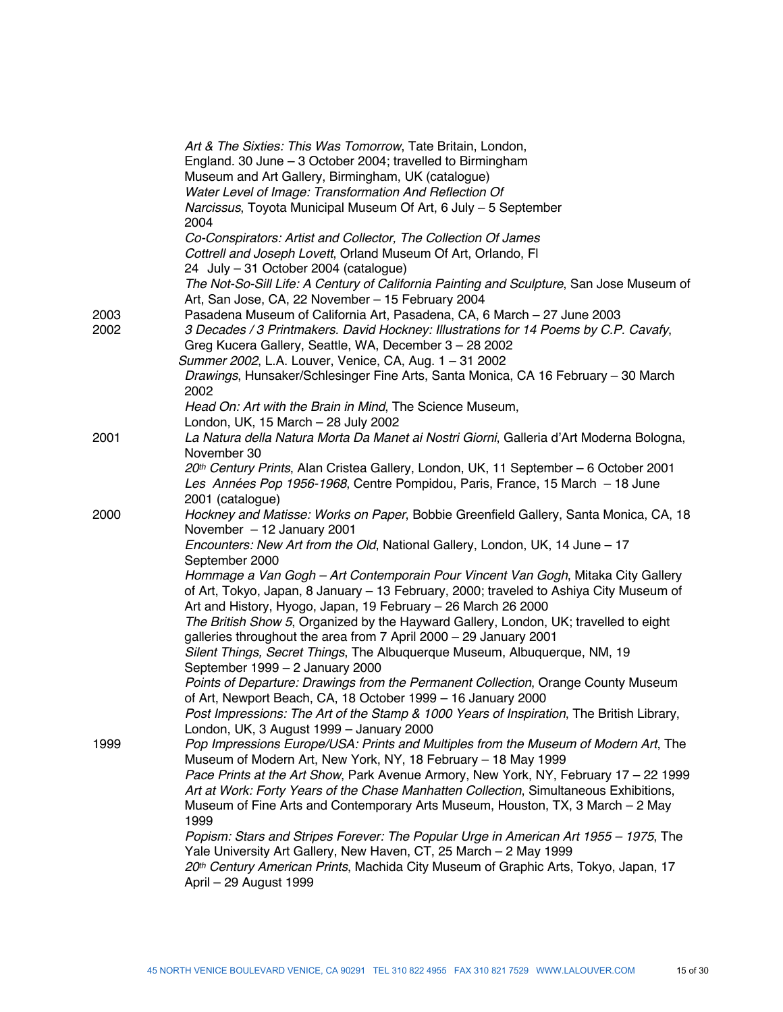|      | Art & The Sixties: This Was Tomorrow, Tate Britain, London,                                                                                       |
|------|---------------------------------------------------------------------------------------------------------------------------------------------------|
|      | England. 30 June - 3 October 2004; travelled to Birmingham                                                                                        |
|      | Museum and Art Gallery, Birmingham, UK (catalogue)                                                                                                |
|      | Water Level of Image: Transformation And Reflection Of                                                                                            |
|      | Narcissus, Toyota Municipal Museum Of Art, 6 July - 5 September<br>2004                                                                           |
|      | Co-Conspirators: Artist and Collector, The Collection Of James                                                                                    |
|      | Cottrell and Joseph Lovett, Orland Museum Of Art, Orlando, FI                                                                                     |
|      | 24 July - 31 October 2004 (catalogue)                                                                                                             |
|      | The Not-So-Sill Life: A Century of California Painting and Sculpture, San Jose Museum of<br>Art, San Jose, CA, 22 November - 15 February 2004     |
| 2003 | Pasadena Museum of California Art, Pasadena, CA, 6 March - 27 June 2003                                                                           |
| 2002 | 3 Decades / 3 Printmakers. David Hockney: Illustrations for 14 Poems by C.P. Cavafy,<br>Greg Kucera Gallery, Seattle, WA, December 3 - 28 2002    |
|      | Summer 2002, L.A. Louver, Venice, CA, Aug. 1 - 31 2002                                                                                            |
|      | Drawings, Hunsaker/Schlesinger Fine Arts, Santa Monica, CA 16 February - 30 March<br>2002                                                         |
|      | Head On: Art with the Brain in Mind, The Science Museum,                                                                                          |
|      | London, UK, 15 March - 28 July 2002                                                                                                               |
| 2001 | La Natura della Natura Morta Da Manet ai Nostri Giorni, Galleria d'Art Moderna Bologna,<br>November 30                                            |
|      | 20th Century Prints, Alan Cristea Gallery, London, UK, 11 September - 6 October 2001                                                              |
|      | Les Années Pop 1956-1968, Centre Pompidou, Paris, France, 15 March - 18 June                                                                      |
|      | 2001 (catalogue)                                                                                                                                  |
| 2000 | Hockney and Matisse: Works on Paper, Bobbie Greenfield Gallery, Santa Monica, CA, 18<br>November - 12 January 2001                                |
|      | Encounters: New Art from the Old, National Gallery, London, UK, 14 June - 17                                                                      |
|      | September 2000                                                                                                                                    |
|      | Hommage a Van Gogh - Art Contemporain Pour Vincent Van Gogh, Mitaka City Gallery                                                                  |
|      | of Art, Tokyo, Japan, 8 January - 13 February, 2000; traveled to Ashiya City Museum of                                                            |
|      | Art and History, Hyogo, Japan, 19 February - 26 March 26 2000                                                                                     |
|      | The British Show 5, Organized by the Hayward Gallery, London, UK; travelled to eight                                                              |
|      | galleries throughout the area from 7 April 2000 - 29 January 2001                                                                                 |
|      | Silent Things, Secret Things, The Albuquerque Museum, Albuquerque, NM, 19                                                                         |
|      | September 1999 - 2 January 2000                                                                                                                   |
|      | Points of Departure: Drawings from the Permanent Collection, Orange County Museum<br>of Art, Newport Beach, CA, 18 October 1999 - 16 January 2000 |
|      | Post Impressions: The Art of the Stamp & 1000 Years of Inspiration, The British Library,                                                          |
|      | London, UK, 3 August 1999 - January 2000                                                                                                          |
| 1999 | Pop Impressions Europe/USA: Prints and Multiples from the Museum of Modern Art, The                                                               |
|      | Museum of Modern Art, New York, NY, 18 February - 18 May 1999                                                                                     |
|      | Pace Prints at the Art Show, Park Avenue Armory, New York, NY, February 17 - 22 1999                                                              |
|      | Art at Work: Forty Years of the Chase Manhatten Collection, Simultaneous Exhibitions,                                                             |
|      | Museum of Fine Arts and Contemporary Arts Museum, Houston, TX, 3 March - 2 May<br>1999                                                            |
|      | Popism: Stars and Stripes Forever: The Popular Urge in American Art 1955 - 1975, The                                                              |
|      | Yale University Art Gallery, New Haven, CT, 25 March - 2 May 1999                                                                                 |
|      | 20th Century American Prints, Machida City Museum of Graphic Arts, Tokyo, Japan, 17                                                               |
|      | April - 29 August 1999                                                                                                                            |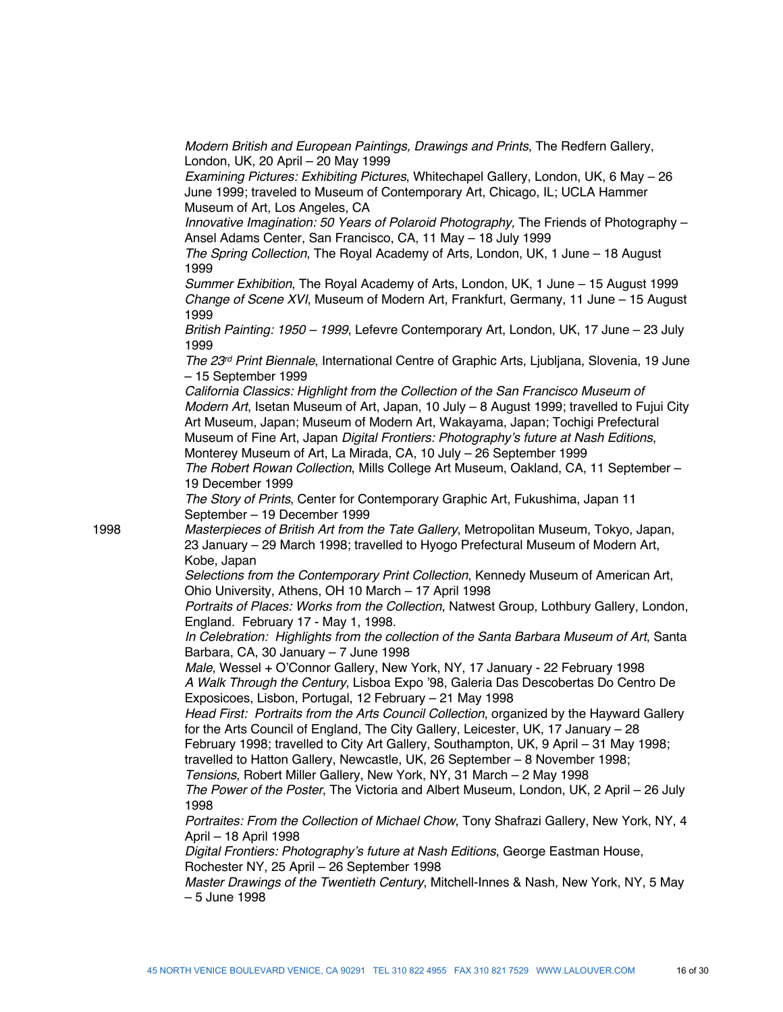*Modern British and European Paintings, Drawings and Prints*, The Redfern Gallery, London, UK, 20 April – 20 May 1999

*Examining Pictures: Exhibiting Pictures*, Whitechapel Gallery, London, UK, 6 May – 26 June 1999; traveled to Museum of Contemporary Art, Chicago, IL; UCLA Hammer Museum of Art, Los Angeles, CA

*Innovative Imagination: 50 Years of Polaroid Photography*, The Friends of Photography – Ansel Adams Center, San Francisco, CA, 11 May – 18 July 1999

*The Spring Collection*, The Royal Academy of Arts, London, UK, 1 June – 18 August 1999

*Summer Exhibition*, The Royal Academy of Arts, London, UK, 1 June – 15 August 1999 *Change of Scene XVI*, Museum of Modern Art, Frankfurt, Germany, 11 June – 15 August 1999

*British Painting: 1950 – 1999*, Lefevre Contemporary Art, London, UK, 17 June – 23 July 1999

*The 23rd Print Biennale*, International Centre of Graphic Arts, Ljubljana, Slovenia, 19 June – 15 September 1999

*California Classics: Highlight from the Collection of the San Francisco Museum of Modern Art*, Isetan Museum of Art, Japan, 10 July – 8 August 1999; travelled to Fujui City Art Museum, Japan; Museum of Modern Art, Wakayama, Japan; Tochigi Prefectural Museum of Fine Art, Japan *Digital Frontiers: Photography's future at Nash Editions*, Monterey Museum of Art, La Mirada, CA, 10 July – 26 September 1999 *The Robert Rowan Collection*, Mills College Art Museum, Oakland, CA, 11 September – 19 December 1999

*The Story of Prints*, Center for Contemporary Graphic Art, Fukushima, Japan 11 September – 19 December 1999

1998 *Masterpieces of British Art from the Tate Gallery*, Metropolitan Museum, Tokyo, Japan, 23 January – 29 March 1998; travelled to Hyogo Prefectural Museum of Modern Art, Kobe, Japan

> *Selections from the Contemporary Print Collection*, Kennedy Museum of American Art, Ohio University, Athens, OH 10 March – 17 April 1998

*Portraits of Places: Works from the Collection*, Natwest Group, Lothbury Gallery, London, England. February 17 - May 1, 1998.

*In Celebration: Highlights from the collection of the Santa Barbara Museum of Art*, Santa Barbara, CA, 30 January – 7 June 1998

*Male*, Wessel + O'Connor Gallery, New York, NY, 17 January - 22 February 1998 *A Walk Through the Century*, Lisboa Expo '98, Galeria Das Descobertas Do Centro De Exposicoes, Lisbon, Portugal, 12 February – 21 May 1998

*Head First: Portraits from the Arts Council Collection*, organized by the Hayward Gallery for the Arts Council of England, The City Gallery, Leicester, UK, 17 January – 28 February 1998; travelled to City Art Gallery, Southampton, UK, 9 April – 31 May 1998;

travelled to Hatton Gallery, Newcastle, UK, 26 September – 8 November 1998;

*Tensions*, Robert Miller Gallery, New York, NY, 31 March – 2 May 1998

*The Power of the Poster*, The Victoria and Albert Museum, London, UK, 2 April – 26 July 1998

*Portraites: From the Collection of Michael Chow*, Tony Shafrazi Gallery, New York, NY, 4 April – 18 April 1998

*Digital Frontiers: Photography's future at Nash Editions*, George Eastman House, Rochester NY, 25 April – 26 September 1998

*Master Drawings of the Twentieth Century*, Mitchell-Innes & Nash, New York, NY, 5 May – 5 June 1998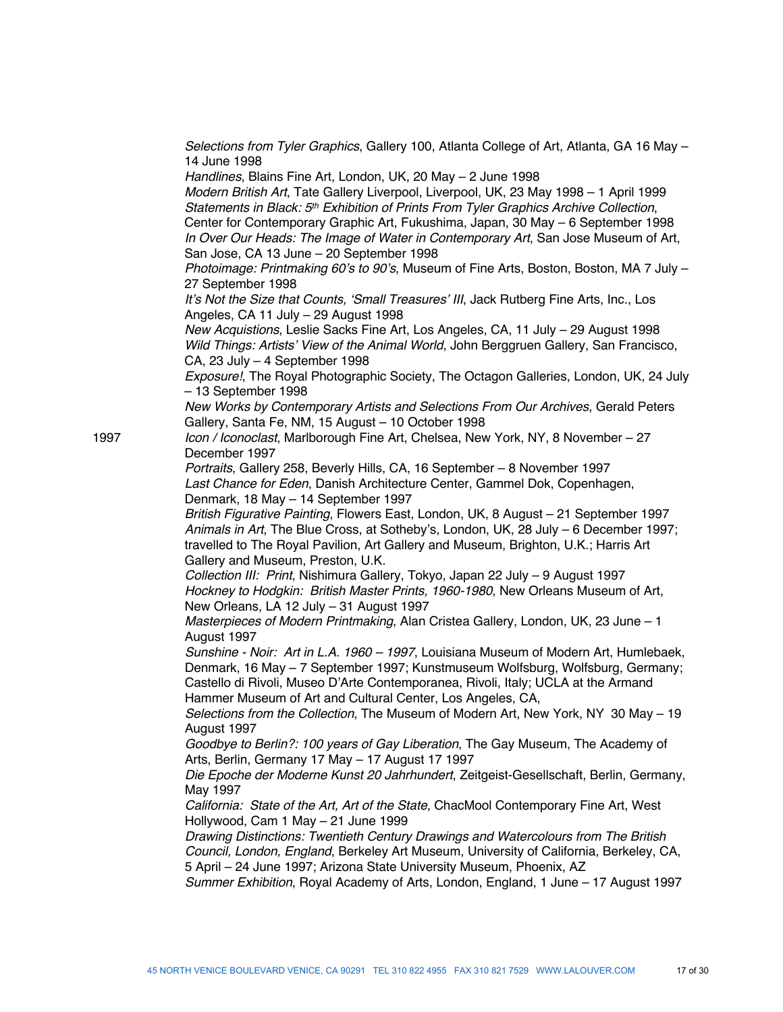*Selections from Tyler Graphics*, Gallery 100, Atlanta College of Art, Atlanta, GA 16 May – 14 June 1998

*Handlines*, Blains Fine Art, London, UK, 20 May – 2 June 1998

*Modern British Art*, Tate Gallery Liverpool, Liverpool, UK, 23 May 1998 – 1 April 1999 *Statements in Black: 5th Exhibition of Prints From Tyler Graphics Archive Collection*, Center for Contemporary Graphic Art, Fukushima, Japan, 30 May – 6 September 1998 *In Over Our Heads: The Image of Water in Contemporary Art*, San Jose Museum of Art, San Jose, CA 13 June – 20 September 1998

*Photoimage: Printmaking 60's to 90's*, Museum of Fine Arts, Boston, Boston, MA 7 July – 27 September 1998

*It's Not the Size that Counts, 'Small Treasures' III*, Jack Rutberg Fine Arts, Inc., Los Angeles, CA 11 July – 29 August 1998

*New Acquistions*, Leslie Sacks Fine Art, Los Angeles, CA, 11 July – 29 August 1998 *Wild Things: Artists' View of the Animal World*, John Berggruen Gallery, San Francisco, CA, 23 July – 4 September 1998

*Exposure!*, The Royal Photographic Society, The Octagon Galleries, London, UK, 24 July – 13 September 1998

*New Works by Contemporary Artists and Selections From Our Archives*, Gerald Peters Gallery, Santa Fe, NM, 15 August – 10 October 1998

1997 *Icon / Iconoclast*, Marlborough Fine Art, Chelsea, New York, NY, 8 November – 27 December 1997

> *Portraits*, Gallery 258, Beverly Hills, CA, 16 September – 8 November 1997 *Last Chance for Eden*, Danish Architecture Center, Gammel Dok, Copenhagen, Denmark, 18 May – 14 September 1997

*British Figurative Painting*, Flowers East, London, UK, 8 August – 21 September 1997 *Animals in Art*, The Blue Cross, at Sotheby's, London, UK, 28 July – 6 December 1997; travelled to The Royal Pavilion, Art Gallery and Museum, Brighton, U.K.; Harris Art Gallery and Museum, Preston, U.K.

*Collection III: Print*, Nishimura Gallery, Tokyo, Japan 22 July – 9 August 1997 *Hockney to Hodgkin: British Master Prints, 1960-1980*, New Orleans Museum of Art, New Orleans, LA 12 July – 31 August 1997

*Masterpieces of Modern Printmaking*, Alan Cristea Gallery, London, UK, 23 June – 1 August 1997

*Sunshine - Noir: Art in L.A. 1960 – 1997*, Louisiana Museum of Modern Art, Humlebaek, Denmark, 16 May – 7 September 1997; Kunstmuseum Wolfsburg, Wolfsburg, Germany; Castello di Rivoli, Museo D'Arte Contemporanea, Rivoli, Italy; UCLA at the Armand Hammer Museum of Art and Cultural Center, Los Angeles, CA,

*Selections from the Collection*, The Museum of Modern Art, New York, NY 30 May – 19 August 1997

*Goodbye to Berlin?: 100 years of Gay Liberation*, The Gay Museum, The Academy of Arts, Berlin, Germany 17 May – 17 August 17 1997

*Die Epoche der Moderne Kunst 20 Jahrhundert*, Zeitgeist-Gesellschaft, Berlin, Germany, May 1997

*California: State of the Art, Art of the State*, ChacMool Contemporary Fine Art, West Hollywood, Cam 1 May – 21 June 1999

*Drawing Distinctions: Twentieth Century Drawings and Watercolours from The British Council, London, England*, Berkeley Art Museum, University of California, Berkeley, CA, 5 April – 24 June 1997; Arizona State University Museum, Phoenix, AZ

*Summer Exhibition*, Royal Academy of Arts, London, England, 1 June – 17 August 1997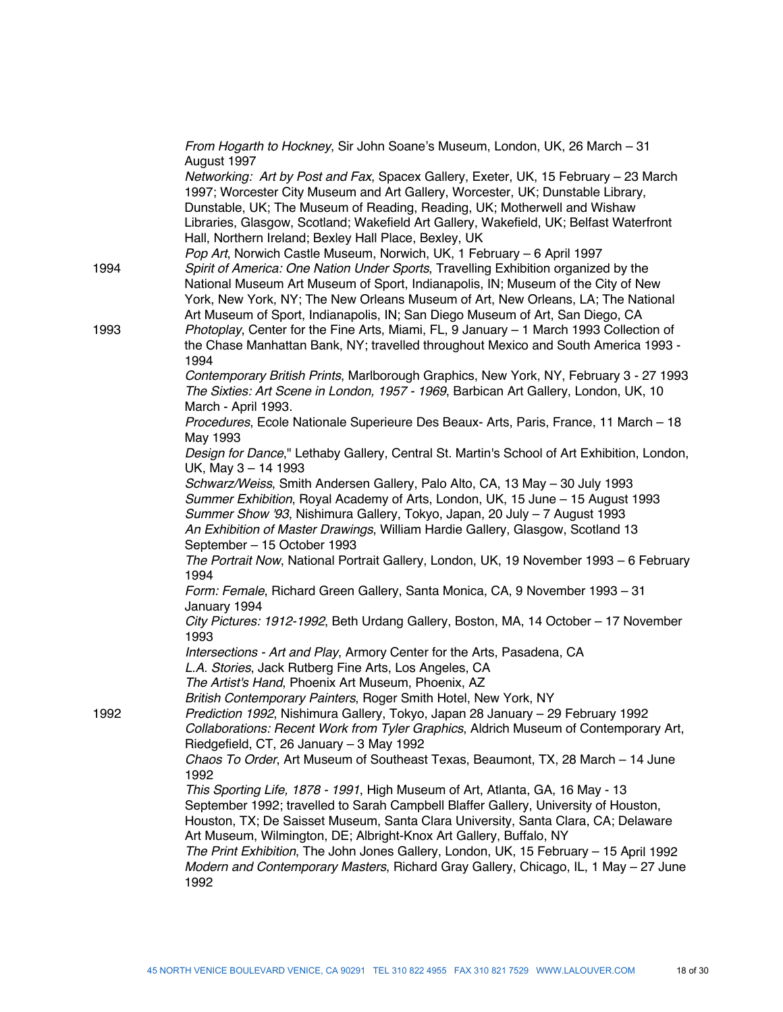|      | From Hogarth to Hockney, Sir John Soane's Museum, London, UK, 26 March - 31<br>August 1997                                                                                                                                                                                                                                                                                                                               |
|------|--------------------------------------------------------------------------------------------------------------------------------------------------------------------------------------------------------------------------------------------------------------------------------------------------------------------------------------------------------------------------------------------------------------------------|
|      | Networking: Art by Post and Fax, Spacex Gallery, Exeter, UK, 15 February - 23 March<br>1997; Worcester City Museum and Art Gallery, Worcester, UK; Dunstable Library,                                                                                                                                                                                                                                                    |
|      | Dunstable, UK; The Museum of Reading, Reading, UK; Motherwell and Wishaw<br>Libraries, Glasgow, Scotland; Wakefield Art Gallery, Wakefield, UK; Belfast Waterfront<br>Hall, Northern Ireland; Bexley Hall Place, Bexley, UK                                                                                                                                                                                              |
|      | Pop Art, Norwich Castle Museum, Norwich, UK, 1 February - 6 April 1997                                                                                                                                                                                                                                                                                                                                                   |
| 1994 | Spirit of America: One Nation Under Sports, Travelling Exhibition organized by the<br>National Museum Art Museum of Sport, Indianapolis, IN; Museum of the City of New<br>York, New York, NY; The New Orleans Museum of Art, New Orleans, LA; The National                                                                                                                                                               |
|      | Art Museum of Sport, Indianapolis, IN; San Diego Museum of Art, San Diego, CA                                                                                                                                                                                                                                                                                                                                            |
| 1993 | Photoplay, Center for the Fine Arts, Miami, FL, 9 January - 1 March 1993 Collection of<br>the Chase Manhattan Bank, NY; travelled throughout Mexico and South America 1993 -<br>1994                                                                                                                                                                                                                                     |
|      | Contemporary British Prints, Marlborough Graphics, New York, NY, February 3 - 27 1993<br>The Sixties: Art Scene in London, 1957 - 1969, Barbican Art Gallery, London, UK, 10<br>March - April 1993.                                                                                                                                                                                                                      |
|      | Procedures, Ecole Nationale Superieure Des Beaux- Arts, Paris, France, 11 March - 18<br>May 1993                                                                                                                                                                                                                                                                                                                         |
|      | Design for Dance," Lethaby Gallery, Central St. Martin's School of Art Exhibition, London,<br>UK, May 3 - 14 1993                                                                                                                                                                                                                                                                                                        |
|      | Schwarz/Weiss, Smith Andersen Gallery, Palo Alto, CA, 13 May - 30 July 1993<br>Summer Exhibition, Royal Academy of Arts, London, UK, 15 June - 15 August 1993<br>Summer Show '93, Nishimura Gallery, Tokyo, Japan, 20 July - 7 August 1993<br>An Exhibition of Master Drawings, William Hardie Gallery, Glasgow, Scotland 13                                                                                             |
|      | September - 15 October 1993<br>The Portrait Now, National Portrait Gallery, London, UK, 19 November 1993 - 6 February                                                                                                                                                                                                                                                                                                    |
|      | 1994<br>Form: Female, Richard Green Gallery, Santa Monica, CA, 9 November 1993 - 31<br>January 1994                                                                                                                                                                                                                                                                                                                      |
|      | City Pictures: 1912-1992, Beth Urdang Gallery, Boston, MA, 14 October - 17 November<br>1993                                                                                                                                                                                                                                                                                                                              |
|      | Intersections - Art and Play, Armory Center for the Arts, Pasadena, CA<br>L.A. Stories, Jack Rutberg Fine Arts, Los Angeles, CA                                                                                                                                                                                                                                                                                          |
|      | The Artist's Hand, Phoenix Art Museum, Phoenix, AZ                                                                                                                                                                                                                                                                                                                                                                       |
|      | British Contemporary Painters, Roger Smith Hotel, New York, NY                                                                                                                                                                                                                                                                                                                                                           |
| 1992 | Prediction 1992, Nishimura Gallery, Tokyo, Japan 28 January - 29 February 1992<br>Collaborations: Recent Work from Tyler Graphics, Aldrich Museum of Contemporary Art,<br>Riedgefield, CT, 26 January - 3 May 1992                                                                                                                                                                                                       |
|      | Chaos To Order, Art Museum of Southeast Texas, Beaumont, TX, 28 March - 14 June<br>1992                                                                                                                                                                                                                                                                                                                                  |
|      | This Sporting Life, 1878 - 1991, High Museum of Art, Atlanta, GA, 16 May - 13<br>September 1992; travelled to Sarah Campbell Blaffer Gallery, University of Houston,<br>Houston, TX; De Saisset Museum, Santa Clara University, Santa Clara, CA; Delaware<br>Art Museum, Wilmington, DE; Albright-Knox Art Gallery, Buffalo, NY<br>The Print Exhibition, The John Jones Gallery, London, UK, 15 February - 15 April 1992 |
|      | Modern and Contemporary Masters, Richard Gray Gallery, Chicago, IL, 1 May - 27 June<br>1992                                                                                                                                                                                                                                                                                                                              |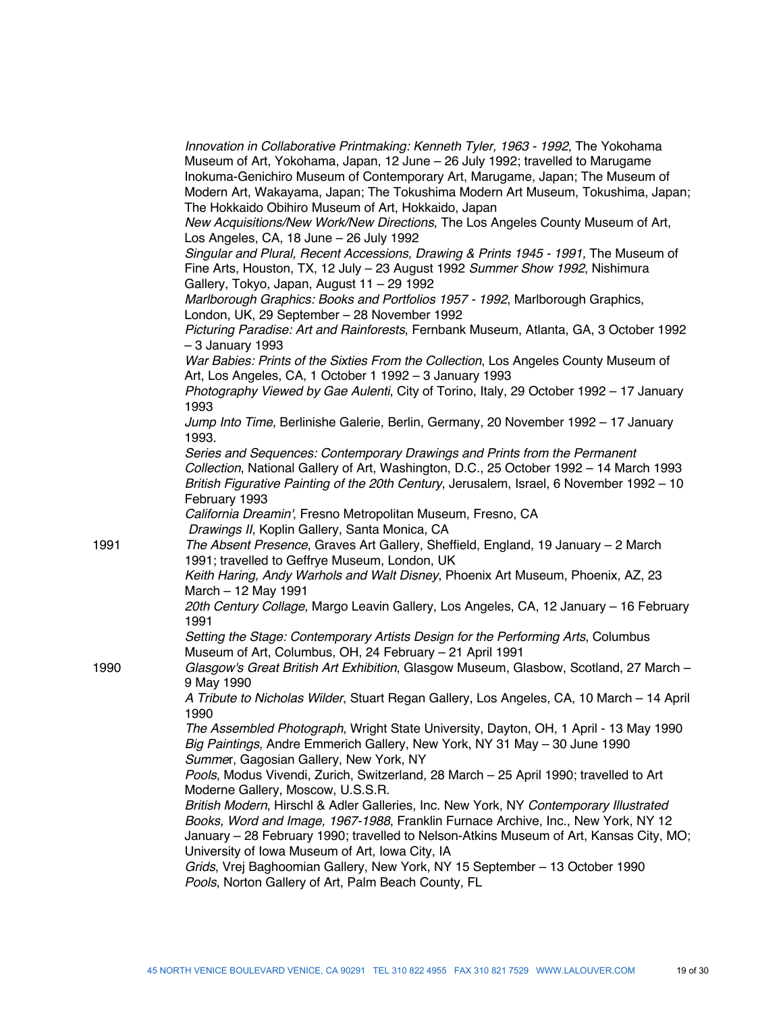|      | Innovation in Collaborative Printmaking: Kenneth Tyler, 1963 - 1992, The Yokohama<br>Museum of Art, Yokohama, Japan, 12 June - 26 July 1992; travelled to Marugame<br>Inokuma-Genichiro Museum of Contemporary Art, Marugame, Japan; The Museum of<br>Modern Art, Wakayama, Japan; The Tokushima Modern Art Museum, Tokushima, Japan;<br>The Hokkaido Obihiro Museum of Art, Hokkaido, Japan |
|------|----------------------------------------------------------------------------------------------------------------------------------------------------------------------------------------------------------------------------------------------------------------------------------------------------------------------------------------------------------------------------------------------|
|      | New Acquisitions/New Work/New Directions, The Los Angeles County Museum of Art,<br>Los Angeles, CA, 18 June - 26 July 1992                                                                                                                                                                                                                                                                   |
|      | Singular and Plural, Recent Accessions, Drawing & Prints 1945 - 1991, The Museum of<br>Fine Arts, Houston, TX, 12 July - 23 August 1992 Summer Show 1992, Nishimura<br>Gallery, Tokyo, Japan, August 11 - 29 1992                                                                                                                                                                            |
|      | Marlborough Graphics: Books and Portfolios 1957 - 1992, Marlborough Graphics,<br>London, UK, 29 September - 28 November 1992                                                                                                                                                                                                                                                                 |
|      | Picturing Paradise: Art and Rainforests, Fernbank Museum, Atlanta, GA, 3 October 1992<br>$-3$ January 1993                                                                                                                                                                                                                                                                                   |
|      | War Babies: Prints of the Sixties From the Collection, Los Angeles County Museum of<br>Art, Los Angeles, CA, 1 October 1 1992 - 3 January 1993                                                                                                                                                                                                                                               |
|      | Photography Viewed by Gae Aulenti, City of Torino, Italy, 29 October 1992 - 17 January<br>1993                                                                                                                                                                                                                                                                                               |
|      | Jump Into Time, Berlinishe Galerie, Berlin, Germany, 20 November 1992 - 17 January<br>1993.                                                                                                                                                                                                                                                                                                  |
|      | Series and Sequences: Contemporary Drawings and Prints from the Permanent<br>Collection, National Gallery of Art, Washington, D.C., 25 October 1992 - 14 March 1993<br>British Figurative Painting of the 20th Century, Jerusalem, Israel, 6 November 1992 - 10<br>February 1993                                                                                                             |
|      | California Dreamin', Fresno Metropolitan Museum, Fresno, CA<br>Drawings II, Koplin Gallery, Santa Monica, CA                                                                                                                                                                                                                                                                                 |
| 1991 | The Absent Presence, Graves Art Gallery, Sheffield, England, 19 January - 2 March<br>1991; travelled to Geffrye Museum, London, UK                                                                                                                                                                                                                                                           |
|      | Keith Haring, Andy Warhols and Walt Disney, Phoenix Art Museum, Phoenix, AZ, 23<br>March - 12 May 1991                                                                                                                                                                                                                                                                                       |
|      | 20th Century Collage, Margo Leavin Gallery, Los Angeles, CA, 12 January - 16 February<br>1991                                                                                                                                                                                                                                                                                                |
|      | Setting the Stage: Contemporary Artists Design for the Performing Arts, Columbus<br>Museum of Art, Columbus, OH, 24 February - 21 April 1991                                                                                                                                                                                                                                                 |
| 1990 | Glasgow's Great British Art Exhibition, Glasgow Museum, Glasbow, Scotland, 27 March -<br>9 May 1990                                                                                                                                                                                                                                                                                          |
|      | A Tribute to Nicholas Wilder, Stuart Regan Gallery, Los Angeles, CA, 10 March - 14 April<br>1990                                                                                                                                                                                                                                                                                             |
|      | The Assembled Photograph, Wright State University, Dayton, OH, 1 April - 13 May 1990<br>Big Paintings, Andre Emmerich Gallery, New York, NY 31 May - 30 June 1990<br>Summer, Gagosian Gallery, New York, NY                                                                                                                                                                                  |
|      | Pools, Modus Vivendi, Zurich, Switzerland, 28 March - 25 April 1990; travelled to Art<br>Moderne Gallery, Moscow, U.S.S.R.                                                                                                                                                                                                                                                                   |
|      | British Modern, Hirschl & Adler Galleries, Inc. New York, NY Contemporary Illustrated<br>Books, Word and Image, 1967-1988, Franklin Furnace Archive, Inc., New York, NY 12<br>January - 28 February 1990; travelled to Nelson-Atkins Museum of Art, Kansas City, MO;                                                                                                                         |
|      | University of Iowa Museum of Art, Iowa City, IA<br>Grids, Vrej Baghoomian Gallery, New York, NY 15 September - 13 October 1990<br>Pools, Norton Gallery of Art, Palm Beach County, FL                                                                                                                                                                                                        |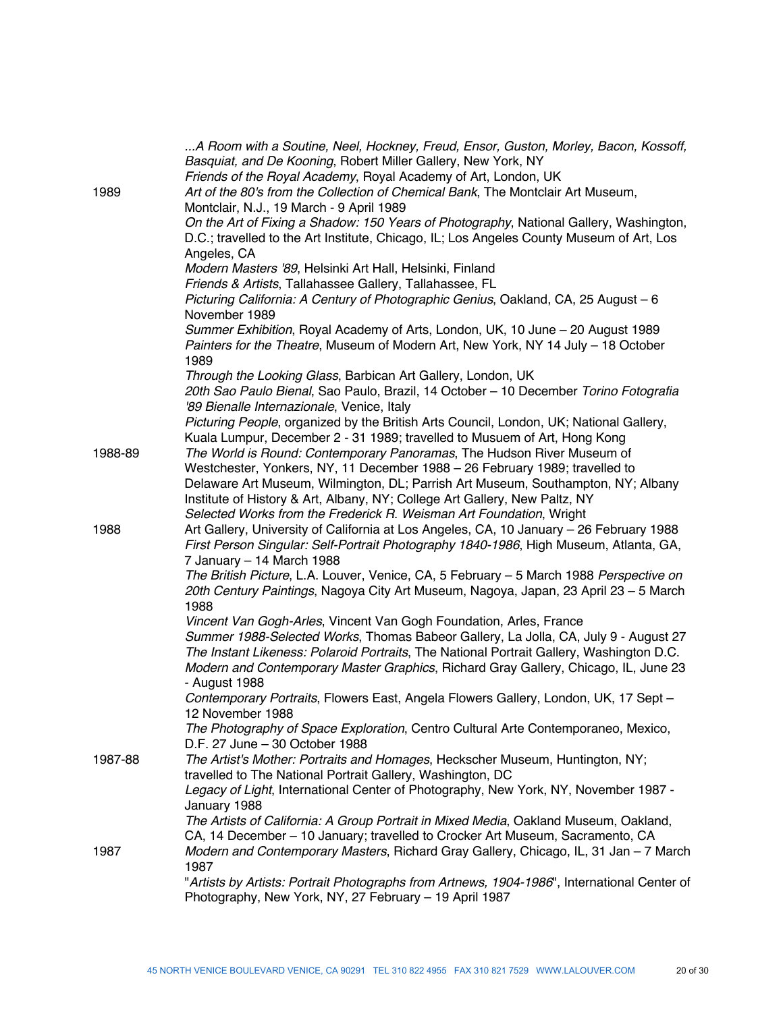|         | A Room with a Soutine, Neel, Hockney, Freud, Ensor, Guston, Morley, Bacon, Kossoff,<br>Basquiat, and De Kooning, Robert Miller Gallery, New York, NY<br>Friends of the Royal Academy, Royal Academy of Art, London, UK                                                                                                                                                                         |
|---------|------------------------------------------------------------------------------------------------------------------------------------------------------------------------------------------------------------------------------------------------------------------------------------------------------------------------------------------------------------------------------------------------|
| 1989    | Art of the 80's from the Collection of Chemical Bank, The Montclair Art Museum,<br>Montclair, N.J., 19 March - 9 April 1989                                                                                                                                                                                                                                                                    |
|         | On the Art of Fixing a Shadow: 150 Years of Photography, National Gallery, Washington,<br>D.C.; travelled to the Art Institute, Chicago, IL; Los Angeles County Museum of Art, Los                                                                                                                                                                                                             |
|         | Angeles, CA<br>Modern Masters '89, Helsinki Art Hall, Helsinki, Finland                                                                                                                                                                                                                                                                                                                        |
|         | Friends & Artists, Tallahassee Gallery, Tallahassee, FL<br>Picturing California: A Century of Photographic Genius, Oakland, CA, 25 August - 6<br>November 1989                                                                                                                                                                                                                                 |
|         | Summer Exhibition, Royal Academy of Arts, London, UK, 10 June - 20 August 1989<br>Painters for the Theatre, Museum of Modern Art, New York, NY 14 July - 18 October<br>1989                                                                                                                                                                                                                    |
|         | Through the Looking Glass, Barbican Art Gallery, London, UK<br>20th Sao Paulo Bienal, Sao Paulo, Brazil, 14 October - 10 December Torino Fotografia<br>'89 Bienalle Internazionale, Venice, Italy                                                                                                                                                                                              |
|         | Picturing People, organized by the British Arts Council, London, UK; National Gallery,<br>Kuala Lumpur, December 2 - 31 1989; travelled to Musuem of Art, Hong Kong                                                                                                                                                                                                                            |
| 1988-89 | The World is Round: Contemporary Panoramas, The Hudson River Museum of<br>Westchester, Yonkers, NY, 11 December 1988 - 26 February 1989; travelled to<br>Delaware Art Museum, Wilmington, DL; Parrish Art Museum, Southampton, NY; Albany<br>Institute of History & Art, Albany, NY; College Art Gallery, New Paltz, NY<br>Selected Works from the Frederick R. Weisman Art Foundation, Wright |
| 1988    | Art Gallery, University of California at Los Angeles, CA, 10 January - 26 February 1988<br>First Person Singular: Self-Portrait Photography 1840-1986, High Museum, Atlanta, GA,<br>7 January - 14 March 1988                                                                                                                                                                                  |
|         | The British Picture, L.A. Louver, Venice, CA, 5 February - 5 March 1988 Perspective on<br>20th Century Paintings, Nagoya City Art Museum, Nagoya, Japan, 23 April 23 - 5 March<br>1988                                                                                                                                                                                                         |
|         | Vincent Van Gogh-Arles, Vincent Van Gogh Foundation, Arles, France                                                                                                                                                                                                                                                                                                                             |
|         | Summer 1988-Selected Works, Thomas Babeor Gallery, La Jolla, CA, July 9 - August 27<br>The Instant Likeness: Polaroid Portraits, The National Portrait Gallery, Washington D.C.<br>Modern and Contemporary Master Graphics, Richard Gray Gallery, Chicago, IL, June 23<br>- August 1988                                                                                                        |
|         | Contemporary Portraits, Flowers East, Angela Flowers Gallery, London, UK, 17 Sept -<br>12 November 1988                                                                                                                                                                                                                                                                                        |
|         | The Photography of Space Exploration, Centro Cultural Arte Contemporaneo, Mexico,<br>D.F. 27 June - 30 October 1988                                                                                                                                                                                                                                                                            |
| 1987-88 | The Artist's Mother: Portraits and Homages, Heckscher Museum, Huntington, NY;<br>travelled to The National Portrait Gallery, Washington, DC                                                                                                                                                                                                                                                    |
|         | Legacy of Light, International Center of Photography, New York, NY, November 1987 -<br>January 1988                                                                                                                                                                                                                                                                                            |
|         | The Artists of California: A Group Portrait in Mixed Media, Oakland Museum, Oakland,<br>CA, 14 December - 10 January; travelled to Crocker Art Museum, Sacramento, CA                                                                                                                                                                                                                          |
| 1987    | Modern and Contemporary Masters, Richard Gray Gallery, Chicago, IL, 31 Jan - 7 March<br>1987                                                                                                                                                                                                                                                                                                   |
|         | "Artists by Artists: Portrait Photographs from Artnews, 1904-1986", International Center of<br>Photography, New York, NY, 27 February - 19 April 1987                                                                                                                                                                                                                                          |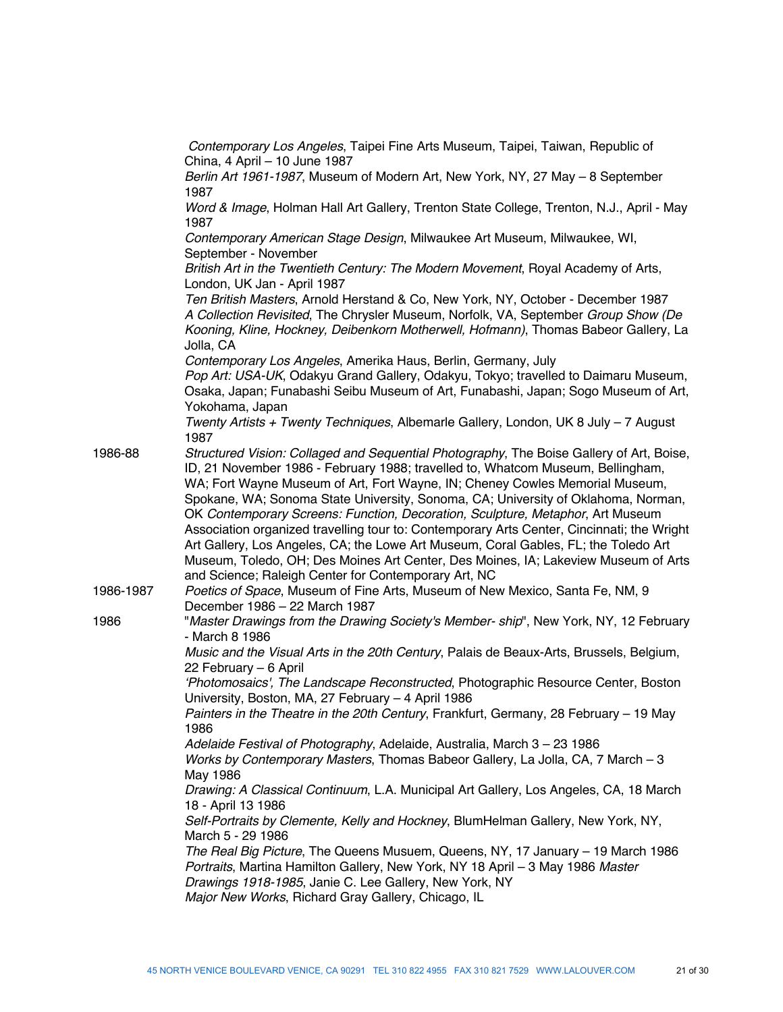|           | Contemporary Los Angeles, Taipei Fine Arts Museum, Taipei, Taiwan, Republic of<br>China, 4 April - 10 June 1987                                                                                                                                                                                                                                                                                                                                                                                                                                                                                                                                                                                               |
|-----------|---------------------------------------------------------------------------------------------------------------------------------------------------------------------------------------------------------------------------------------------------------------------------------------------------------------------------------------------------------------------------------------------------------------------------------------------------------------------------------------------------------------------------------------------------------------------------------------------------------------------------------------------------------------------------------------------------------------|
|           | Berlin Art 1961-1987, Museum of Modern Art, New York, NY, 27 May - 8 September<br>1987                                                                                                                                                                                                                                                                                                                                                                                                                                                                                                                                                                                                                        |
|           | Word & Image, Holman Hall Art Gallery, Trenton State College, Trenton, N.J., April - May<br>1987                                                                                                                                                                                                                                                                                                                                                                                                                                                                                                                                                                                                              |
|           | Contemporary American Stage Design, Milwaukee Art Museum, Milwaukee, WI,<br>September - November                                                                                                                                                                                                                                                                                                                                                                                                                                                                                                                                                                                                              |
|           | British Art in the Twentieth Century: The Modern Movement, Royal Academy of Arts,                                                                                                                                                                                                                                                                                                                                                                                                                                                                                                                                                                                                                             |
|           | London, UK Jan - April 1987<br>Ten British Masters, Arnold Herstand & Co, New York, NY, October - December 1987<br>A Collection Revisited, The Chrysler Museum, Norfolk, VA, September Group Show (De<br>Kooning, Kline, Hockney, Deibenkorn Motherwell, Hofmann), Thomas Babeor Gallery, La<br>Jolla, CA                                                                                                                                                                                                                                                                                                                                                                                                     |
|           | Contemporary Los Angeles, Amerika Haus, Berlin, Germany, July<br>Pop Art: USA-UK, Odakyu Grand Gallery, Odakyu, Tokyo; travelled to Daimaru Museum,<br>Osaka, Japan; Funabashi Seibu Museum of Art, Funabashi, Japan; Sogo Museum of Art,<br>Yokohama, Japan                                                                                                                                                                                                                                                                                                                                                                                                                                                  |
|           | Twenty Artists + Twenty Techniques, Albemarle Gallery, London, UK 8 July - 7 August<br>1987                                                                                                                                                                                                                                                                                                                                                                                                                                                                                                                                                                                                                   |
| 1986-88   | Structured Vision: Collaged and Sequential Photography, The Boise Gallery of Art, Boise,<br>ID, 21 November 1986 - February 1988; travelled to, Whatcom Museum, Bellingham,<br>WA; Fort Wayne Museum of Art, Fort Wayne, IN; Cheney Cowles Memorial Museum,<br>Spokane, WA; Sonoma State University, Sonoma, CA; University of Oklahoma, Norman,<br>OK Contemporary Screens: Function, Decoration, Sculpture, Metaphor, Art Museum<br>Association organized travelling tour to: Contemporary Arts Center, Cincinnati; the Wright<br>Art Gallery, Los Angeles, CA; the Lowe Art Museum, Coral Gables, FL; the Toledo Art<br>Museum, Toledo, OH; Des Moines Art Center, Des Moines, IA; Lakeview Museum of Arts |
| 1986-1987 | and Science; Raleigh Center for Contemporary Art, NC<br>Poetics of Space, Museum of Fine Arts, Museum of New Mexico, Santa Fe, NM, 9                                                                                                                                                                                                                                                                                                                                                                                                                                                                                                                                                                          |
| 1986      | December 1986 - 22 March 1987<br>"Master Drawings from the Drawing Society's Member- ship", New York, NY, 12 February                                                                                                                                                                                                                                                                                                                                                                                                                                                                                                                                                                                         |
|           | - March 8 1986<br>Music and the Visual Arts in the 20th Century, Palais de Beaux-Arts, Brussels, Belgium,                                                                                                                                                                                                                                                                                                                                                                                                                                                                                                                                                                                                     |
|           | 22 February - 6 April<br>'Photomosaics', The Landscape Reconstructed, Photographic Resource Center, Boston                                                                                                                                                                                                                                                                                                                                                                                                                                                                                                                                                                                                    |
|           | University, Boston, MA, 27 February - 4 April 1986<br>Painters in the Theatre in the 20th Century, Frankfurt, Germany, 28 February - 19 May                                                                                                                                                                                                                                                                                                                                                                                                                                                                                                                                                                   |
|           | 1986<br>Adelaide Festival of Photography, Adelaide, Australia, March 3 - 23 1986                                                                                                                                                                                                                                                                                                                                                                                                                                                                                                                                                                                                                              |
|           | Works by Contemporary Masters, Thomas Babeor Gallery, La Jolla, CA, 7 March - 3<br>May 1986                                                                                                                                                                                                                                                                                                                                                                                                                                                                                                                                                                                                                   |
|           | Drawing: A Classical Continuum, L.A. Municipal Art Gallery, Los Angeles, CA, 18 March<br>18 - April 13 1986                                                                                                                                                                                                                                                                                                                                                                                                                                                                                                                                                                                                   |
|           | Self-Portraits by Clemente, Kelly and Hockney, BlumHelman Gallery, New York, NY,<br>March 5 - 29 1986                                                                                                                                                                                                                                                                                                                                                                                                                                                                                                                                                                                                         |
|           | The Real Big Picture, The Queens Musuem, Queens, NY, 17 January - 19 March 1986<br>Portraits, Martina Hamilton Gallery, New York, NY 18 April - 3 May 1986 Master<br>Drawings 1918-1985, Janie C. Lee Gallery, New York, NY<br>Major New Works, Richard Gray Gallery, Chicago, IL                                                                                                                                                                                                                                                                                                                                                                                                                             |
|           |                                                                                                                                                                                                                                                                                                                                                                                                                                                                                                                                                                                                                                                                                                               |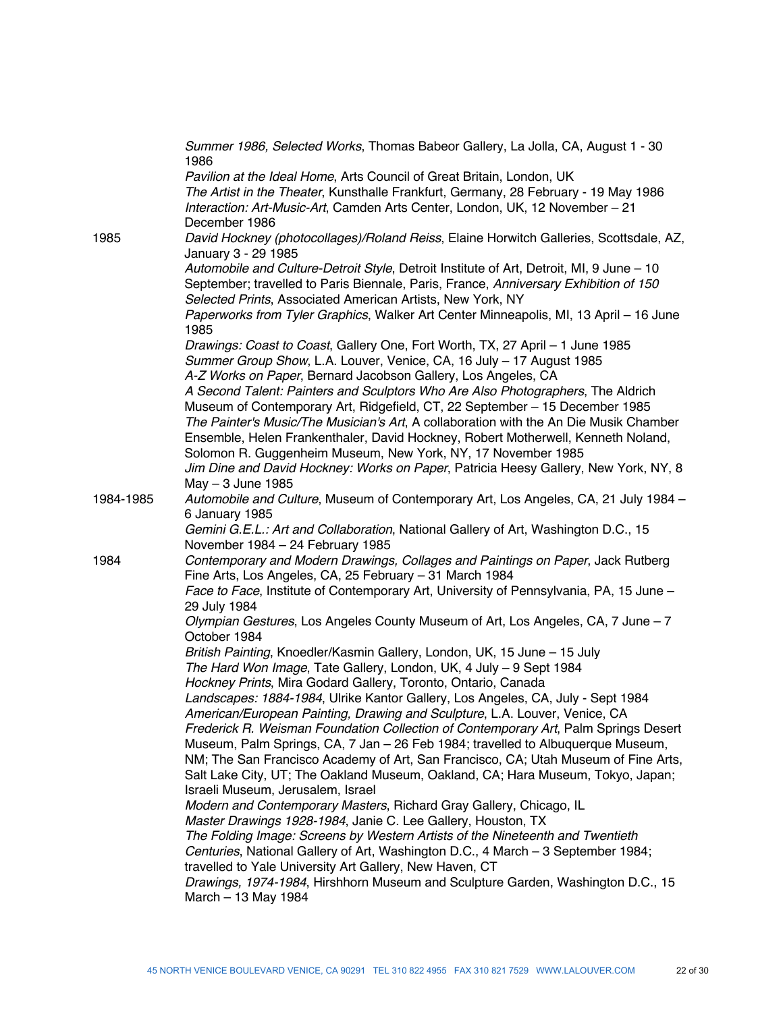|           | Summer 1986, Selected Works, Thomas Babeor Gallery, La Jolla, CA, August 1 - 30<br>1986                                                                                                                                                        |
|-----------|------------------------------------------------------------------------------------------------------------------------------------------------------------------------------------------------------------------------------------------------|
|           | Pavilion at the Ideal Home, Arts Council of Great Britain, London, UK<br>The Artist in the Theater, Kunsthalle Frankfurt, Germany, 28 February - 19 May 1986<br>Interaction: Art-Music-Art, Camden Arts Center, London, UK, 12 November - 21   |
|           | December 1986                                                                                                                                                                                                                                  |
| 1985      | David Hockney (photocollages)/Roland Reiss, Elaine Horwitch Galleries, Scottsdale, AZ,<br>January 3 - 29 1985                                                                                                                                  |
|           | Automobile and Culture-Detroit Style, Detroit Institute of Art, Detroit, MI, 9 June - 10<br>September; travelled to Paris Biennale, Paris, France, Anniversary Exhibition of 150<br>Selected Prints, Associated American Artists, New York, NY |
|           | Paperworks from Tyler Graphics, Walker Art Center Minneapolis, MI, 13 April - 16 June<br>1985                                                                                                                                                  |
|           | Drawings: Coast to Coast, Gallery One, Fort Worth, TX, 27 April - 1 June 1985                                                                                                                                                                  |
|           | Summer Group Show, L.A. Louver, Venice, CA, 16 July - 17 August 1985                                                                                                                                                                           |
|           | A-Z Works on Paper, Bernard Jacobson Gallery, Los Angeles, CA                                                                                                                                                                                  |
|           | A Second Talent: Painters and Sculptors Who Are Also Photographers, The Aldrich<br>Museum of Contemporary Art, Ridgefield, CT, 22 September - 15 December 1985                                                                                 |
|           | The Painter's Music/The Musician's Art, A collaboration with the An Die Musik Chamber                                                                                                                                                          |
|           | Ensemble, Helen Frankenthaler, David Hockney, Robert Motherwell, Kenneth Noland,                                                                                                                                                               |
|           | Solomon R. Guggenheim Museum, New York, NY, 17 November 1985                                                                                                                                                                                   |
|           | Jim Dine and David Hockney: Works on Paper, Patricia Heesy Gallery, New York, NY, 8                                                                                                                                                            |
|           | $May - 3 June 1985$                                                                                                                                                                                                                            |
| 1984-1985 | Automobile and Culture, Museum of Contemporary Art, Los Angeles, CA, 21 July 1984 -<br>6 January 1985                                                                                                                                          |
|           | Gemini G.E.L.: Art and Collaboration, National Gallery of Art, Washington D.C., 15<br>November 1984 - 24 February 1985                                                                                                                         |
| 1984      | Contemporary and Modern Drawings, Collages and Paintings on Paper, Jack Rutberg<br>Fine Arts, Los Angeles, CA, 25 February - 31 March 1984                                                                                                     |
|           | Face to Face, Institute of Contemporary Art, University of Pennsylvania, PA, 15 June -<br>29 July 1984                                                                                                                                         |
|           | Olympian Gestures, Los Angeles County Museum of Art, Los Angeles, CA, 7 June - 7<br>October 1984                                                                                                                                               |
|           | British Painting, Knoedler/Kasmin Gallery, London, UK, 15 June - 15 July                                                                                                                                                                       |
|           | The Hard Won Image, Tate Gallery, London, UK, 4 July - 9 Sept 1984                                                                                                                                                                             |
|           | Hockney Prints, Mira Godard Gallery, Toronto, Ontario, Canada                                                                                                                                                                                  |
|           | Landscapes: 1884-1984, Ulrike Kantor Gallery, Los Angeles, CA, July - Sept 1984<br>American/European Painting, Drawing and Sculpture, L.A. Louver, Venice, CA                                                                                  |
|           | Frederick R. Weisman Foundation Collection of Contemporary Art, Palm Springs Desert                                                                                                                                                            |
|           | Museum, Palm Springs, CA, 7 Jan - 26 Feb 1984; travelled to Albuquerque Museum,                                                                                                                                                                |
|           | NM; The San Francisco Academy of Art, San Francisco, CA; Utah Museum of Fine Arts,                                                                                                                                                             |
|           | Salt Lake City, UT; The Oakland Museum, Oakland, CA; Hara Museum, Tokyo, Japan;                                                                                                                                                                |
|           | Israeli Museum, Jerusalem, Israel                                                                                                                                                                                                              |
|           | Modern and Contemporary Masters, Richard Gray Gallery, Chicago, IL                                                                                                                                                                             |
|           | Master Drawings 1928-1984, Janie C. Lee Gallery, Houston, TX                                                                                                                                                                                   |
|           | The Folding Image: Screens by Western Artists of the Nineteenth and Twentieth<br>Centuries, National Gallery of Art, Washington D.C., 4 March - 3 September 1984;                                                                              |
|           | travelled to Yale University Art Gallery, New Haven, CT                                                                                                                                                                                        |
|           | Drawings, 1974-1984, Hirshhorn Museum and Sculpture Garden, Washington D.C., 15<br>March - 13 May 1984                                                                                                                                         |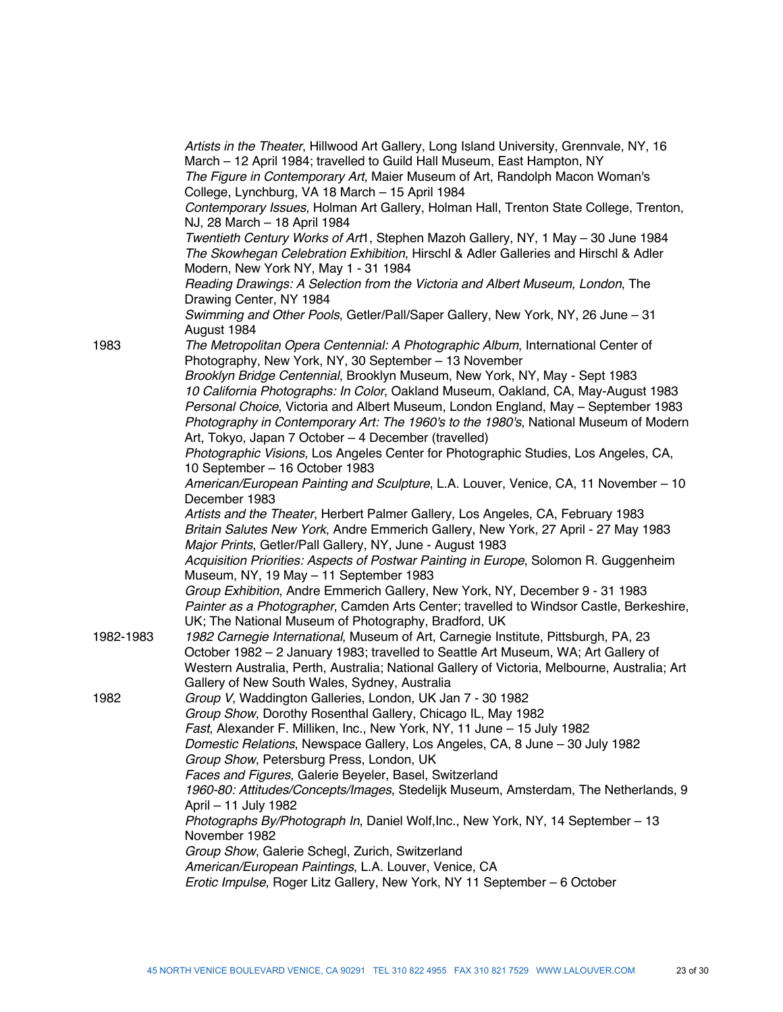|           | Artists in the Theater, Hillwood Art Gallery, Long Island University, Grennvale, NY, 16<br>March - 12 April 1984; travelled to Guild Hall Museum, East Hampton, NY<br>The Figure in Contemporary Art, Maier Museum of Art, Randolph Macon Woman's<br>College, Lynchburg, VA 18 March - 15 April 1984<br>Contemporary Issues, Holman Art Gallery, Holman Hall, Trenton State College, Trenton,<br>NJ, 28 March - 18 April 1984<br>Twentieth Century Works of Art1, Stephen Mazoh Gallery, NY, 1 May - 30 June 1984<br>The Skowhegan Celebration Exhibition, Hirschl & Adler Galleries and Hirschl & Adler<br>Modern, New York NY, May 1 - 31 1984<br>Reading Drawings: A Selection from the Victoria and Albert Museum, London, The<br>Drawing Center, NY 1984<br>Swimming and Other Pools, Getler/Pall/Saper Gallery, New York, NY, 26 June - 31 |
|-----------|--------------------------------------------------------------------------------------------------------------------------------------------------------------------------------------------------------------------------------------------------------------------------------------------------------------------------------------------------------------------------------------------------------------------------------------------------------------------------------------------------------------------------------------------------------------------------------------------------------------------------------------------------------------------------------------------------------------------------------------------------------------------------------------------------------------------------------------------------|
| 1983      | August 1984<br>The Metropolitan Opera Centennial: A Photographic Album, International Center of                                                                                                                                                                                                                                                                                                                                                                                                                                                                                                                                                                                                                                                                                                                                                  |
|           | Photography, New York, NY, 30 September - 13 November                                                                                                                                                                                                                                                                                                                                                                                                                                                                                                                                                                                                                                                                                                                                                                                            |
|           | Brooklyn Bridge Centennial, Brooklyn Museum, New York, NY, May - Sept 1983<br>10 California Photographs: In Color, Oakland Museum, Oakland, CA, May-August 1983<br>Personal Choice, Victoria and Albert Museum, London England, May - September 1983<br>Photography in Contemporary Art: The 1960's to the 1980's, National Museum of Modern<br>Art, Tokyo, Japan 7 October - 4 December (travelled)                                                                                                                                                                                                                                                                                                                                                                                                                                             |
|           | Photographic Visions, Los Angeles Center for Photographic Studies, Los Angeles, CA,                                                                                                                                                                                                                                                                                                                                                                                                                                                                                                                                                                                                                                                                                                                                                              |
|           | 10 September - 16 October 1983<br>American/European Painting and Sculpture, L.A. Louver, Venice, CA, 11 November - 10<br>December 1983                                                                                                                                                                                                                                                                                                                                                                                                                                                                                                                                                                                                                                                                                                           |
|           | Artists and the Theater, Herbert Palmer Gallery, Los Angeles, CA, February 1983<br>Britain Salutes New York, Andre Emmerich Gallery, New York, 27 April - 27 May 1983<br>Major Prints, Getler/Pall Gallery, NY, June - August 1983                                                                                                                                                                                                                                                                                                                                                                                                                                                                                                                                                                                                               |
|           | Acquisition Priorities: Aspects of Postwar Painting in Europe, Solomon R. Guggenheim<br>Museum, NY, 19 May - 11 September 1983                                                                                                                                                                                                                                                                                                                                                                                                                                                                                                                                                                                                                                                                                                                   |
|           | Group Exhibition, Andre Emmerich Gallery, New York, NY, December 9 - 31 1983<br>Painter as a Photographer, Camden Arts Center; travelled to Windsor Castle, Berkeshire,<br>UK; The National Museum of Photography, Bradford, UK                                                                                                                                                                                                                                                                                                                                                                                                                                                                                                                                                                                                                  |
| 1982-1983 | 1982 Carnegie International, Museum of Art, Carnegie Institute, Pittsburgh, PA, 23<br>October 1982 - 2 January 1983; travelled to Seattle Art Museum, WA; Art Gallery of<br>Western Australia, Perth, Australia; National Gallery of Victoria, Melbourne, Australia; Art<br>Gallery of New South Wales, Sydney, Australia                                                                                                                                                                                                                                                                                                                                                                                                                                                                                                                        |
| 1982      | Group V, Waddington Galleries, London, UK Jan 7 - 30 1982                                                                                                                                                                                                                                                                                                                                                                                                                                                                                                                                                                                                                                                                                                                                                                                        |
|           | Group Show, Dorothy Rosenthal Gallery, Chicago IL, May 1982<br>Fast, Alexander F. Milliken, Inc., New York, NY, 11 June - 15 July 1982                                                                                                                                                                                                                                                                                                                                                                                                                                                                                                                                                                                                                                                                                                           |
|           | Domestic Relations, Newspace Gallery, Los Angeles, CA, 8 June - 30 July 1982                                                                                                                                                                                                                                                                                                                                                                                                                                                                                                                                                                                                                                                                                                                                                                     |
|           | Group Show, Petersburg Press, London, UK                                                                                                                                                                                                                                                                                                                                                                                                                                                                                                                                                                                                                                                                                                                                                                                                         |
|           | Faces and Figures, Galerie Beyeler, Basel, Switzerland<br>1960-80: Attitudes/Concepts/Images, Stedelijk Museum, Amsterdam, The Netherlands, 9<br>April - 11 July 1982                                                                                                                                                                                                                                                                                                                                                                                                                                                                                                                                                                                                                                                                            |
|           | Photographs By/Photograph In, Daniel Wolf, Inc., New York, NY, 14 September – 13<br>November 1982                                                                                                                                                                                                                                                                                                                                                                                                                                                                                                                                                                                                                                                                                                                                                |
|           | Group Show, Galerie Schegl, Zurich, Switzerland                                                                                                                                                                                                                                                                                                                                                                                                                                                                                                                                                                                                                                                                                                                                                                                                  |
|           | American/European Paintings, L.A. Louver, Venice, CA<br>Erotic Impulse, Roger Litz Gallery, New York, NY 11 September - 6 October                                                                                                                                                                                                                                                                                                                                                                                                                                                                                                                                                                                                                                                                                                                |
|           |                                                                                                                                                                                                                                                                                                                                                                                                                                                                                                                                                                                                                                                                                                                                                                                                                                                  |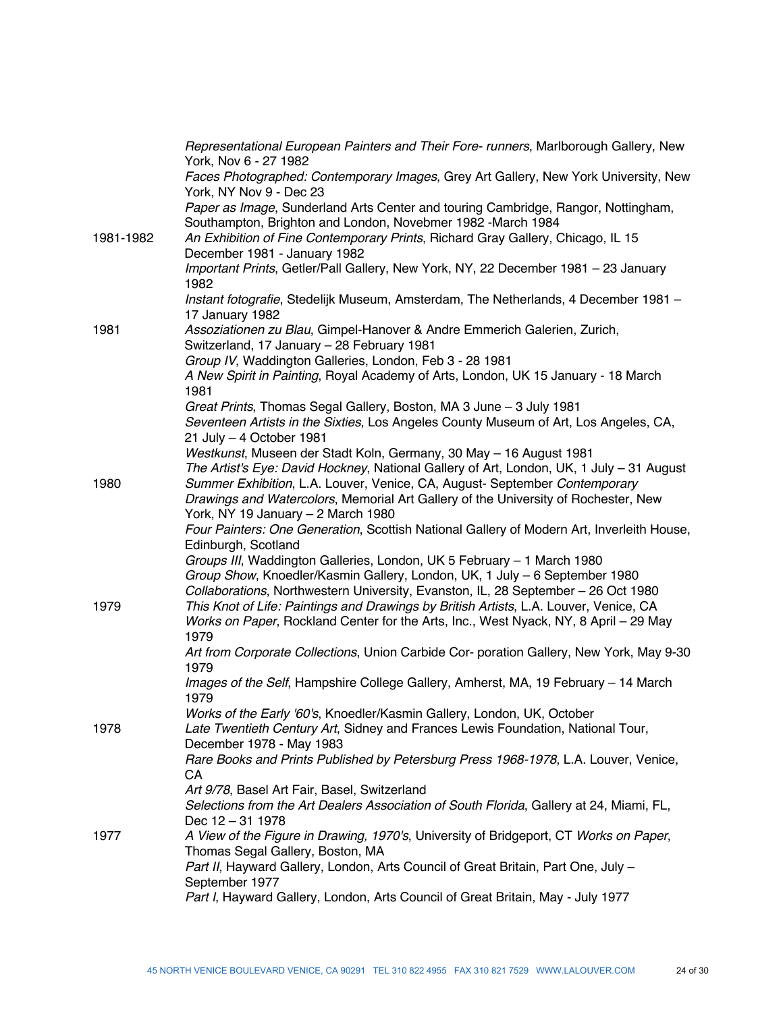|           | Representational European Painters and Their Fore- runners, Marlborough Gallery, New<br>York, Nov 6 - 27 1982                                                                                                                                                              |
|-----------|----------------------------------------------------------------------------------------------------------------------------------------------------------------------------------------------------------------------------------------------------------------------------|
|           | Faces Photographed: Contemporary Images, Grey Art Gallery, New York University, New<br>York, NY Nov 9 - Dec 23                                                                                                                                                             |
|           | Paper as Image, Sunderland Arts Center and touring Cambridge, Rangor, Nottingham,<br>Southampton, Brighton and London, Novebmer 1982 -March 1984                                                                                                                           |
| 1981-1982 | An Exhibition of Fine Contemporary Prints, Richard Gray Gallery, Chicago, IL 15<br>December 1981 - January 1982                                                                                                                                                            |
|           | Important Prints, Getler/Pall Gallery, New York, NY, 22 December 1981 - 23 January<br>1982                                                                                                                                                                                 |
|           | Instant fotografie, Stedelijk Museum, Amsterdam, The Netherlands, 4 December 1981 -<br>17 January 1982                                                                                                                                                                     |
| 1981      | Assoziationen zu Blau, Gimpel-Hanover & Andre Emmerich Galerien, Zurich,<br>Switzerland, 17 January - 28 February 1981                                                                                                                                                     |
|           | Group IV, Waddington Galleries, London, Feb 3 - 28 1981                                                                                                                                                                                                                    |
|           | A New Spirit in Painting, Royal Academy of Arts, London, UK 15 January - 18 March<br>1981                                                                                                                                                                                  |
|           | Great Prints, Thomas Segal Gallery, Boston, MA 3 June - 3 July 1981<br>Seventeen Artists in the Sixties, Los Angeles County Museum of Art, Los Angeles, CA,<br>21 July - 4 October 1981                                                                                    |
|           | Westkunst, Museen der Stadt Koln, Germany, 30 May - 16 August 1981                                                                                                                                                                                                         |
| 1980      | The Artist's Eye: David Hockney, National Gallery of Art, London, UK, 1 July - 31 August<br>Summer Exhibition, L.A. Louver, Venice, CA, August- September Contemporary<br>Drawings and Watercolors, Memorial Art Gallery of the University of Rochester, New               |
|           | York, NY 19 January - 2 March 1980                                                                                                                                                                                                                                         |
|           | Four Painters: One Generation, Scottish National Gallery of Modern Art, Inverleith House,<br>Edinburgh, Scotland                                                                                                                                                           |
|           | Groups III, Waddington Galleries, London, UK 5 February - 1 March 1980<br>Group Show, Knoedler/Kasmin Gallery, London, UK, 1 July - 6 September 1980                                                                                                                       |
| 1979      | Collaborations, Northwestern University, Evanston, IL, 28 September - 26 Oct 1980<br>This Knot of Life: Paintings and Drawings by British Artists, L.A. Louver, Venice, CA<br>Works on Paper, Rockland Center for the Arts, Inc., West Nyack, NY, 8 April - 29 May<br>1979 |
|           | Art from Corporate Collections, Union Carbide Cor- poration Gallery, New York, May 9-30<br>1979                                                                                                                                                                            |
|           | Images of the Self, Hampshire College Gallery, Amherst, MA, 19 February - 14 March<br>1979                                                                                                                                                                                 |
|           | Works of the Early '60's, Knoedler/Kasmin Gallery, London, UK, October                                                                                                                                                                                                     |
| 1978      | Late Twentieth Century Art, Sidney and Frances Lewis Foundation, National Tour,<br>December 1978 - May 1983                                                                                                                                                                |
|           | Rare Books and Prints Published by Petersburg Press 1968-1978, L.A. Louver, Venice,<br>CA                                                                                                                                                                                  |
|           | Art 9/78, Basel Art Fair, Basel, Switzerland<br>Selections from the Art Dealers Association of South Florida, Gallery at 24, Miami, FL,                                                                                                                                    |
| 1977      | Dec 12 - 31 1978<br>A View of the Figure in Drawing, 1970's, University of Bridgeport, CT Works on Paper,                                                                                                                                                                  |
|           | Thomas Segal Gallery, Boston, MA<br>Part II, Hayward Gallery, London, Arts Council of Great Britain, Part One, July -                                                                                                                                                      |
|           | September 1977<br>Part I, Hayward Gallery, London, Arts Council of Great Britain, May - July 1977                                                                                                                                                                          |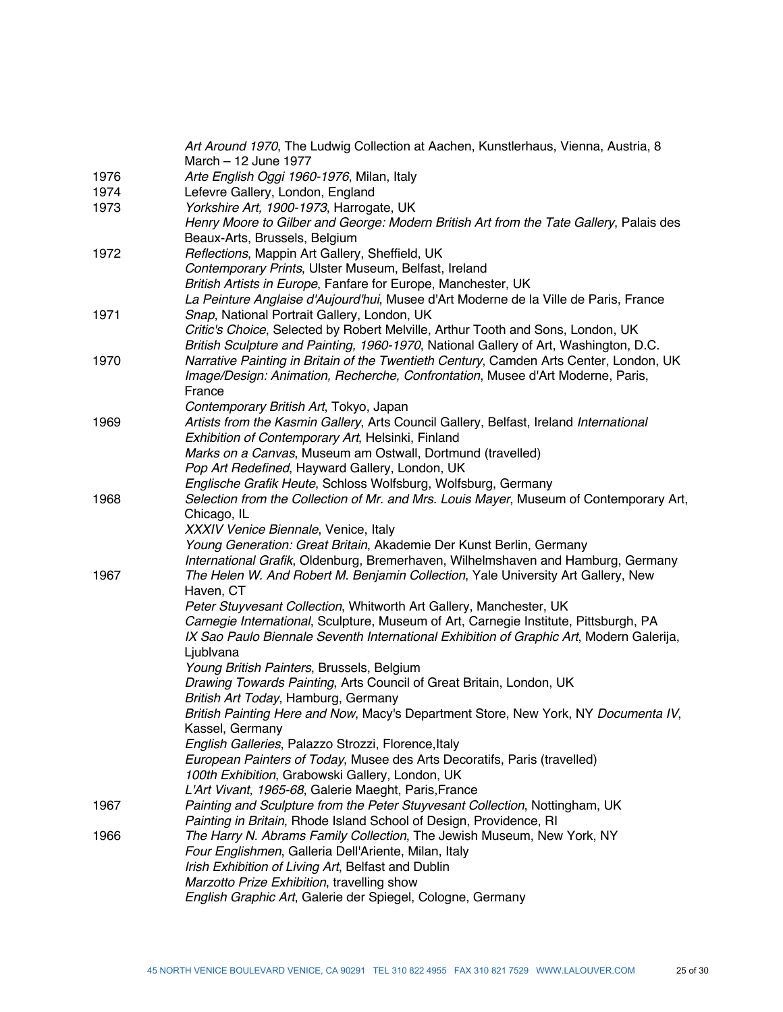| Henry Moore to Gilber and George: Modern British Art from the Tate Gallery, Palais des                                                                |
|-------------------------------------------------------------------------------------------------------------------------------------------------------|
|                                                                                                                                                       |
|                                                                                                                                                       |
|                                                                                                                                                       |
| British Artists in Europe, Fanfare for Europe, Manchester, UK<br>La Peinture Anglaise d'Aujourd'hui, Musee d'Art Moderne de la Ville de Paris, France |
|                                                                                                                                                       |
| Critic's Choice, Selected by Robert Melville, Arthur Tooth and Sons, London, UK                                                                       |
| British Sculpture and Painting, 1960-1970, National Gallery of Art, Washington, D.C.                                                                  |
| Narrative Painting in Britain of the Twentieth Century, Camden Arts Center, London, UK                                                                |
| Image/Design: Animation, Recherche, Confrontation, Musee d'Art Moderne, Paris,                                                                        |
|                                                                                                                                                       |
|                                                                                                                                                       |
| Artists from the Kasmin Gallery, Arts Council Gallery, Belfast, Ireland International                                                                 |
|                                                                                                                                                       |
| Marks on a Canvas, Museum am Ostwall, Dortmund (travelled)                                                                                            |
|                                                                                                                                                       |
| Englische Grafik Heute, Schloss Wolfsburg, Wolfsburg, Germany                                                                                         |
| Selection from the Collection of Mr. and Mrs. Louis Mayer, Museum of Contemporary Art,                                                                |
|                                                                                                                                                       |
|                                                                                                                                                       |
| Young Generation: Great Britain, Akademie Der Kunst Berlin, Germany                                                                                   |
| International Grafik, Oldenburg, Bremerhaven, Wilhelmshaven and Hamburg, Germany                                                                      |
| The Helen W. And Robert M. Benjamin Collection, Yale University Art Gallery, New                                                                      |
|                                                                                                                                                       |
| Peter Stuyvesant Collection, Whitworth Art Gallery, Manchester, UK                                                                                    |
| Carnegie International, Sculpture, Museum of Art, Carnegie Institute, Pittsburgh, PA                                                                  |
|                                                                                                                                                       |
| IX Sao Paulo Biennale Seventh International Exhibition of Graphic Art, Modern Galerija,                                                               |
|                                                                                                                                                       |
|                                                                                                                                                       |
| Drawing Towards Painting, Arts Council of Great Britain, London, UK                                                                                   |
|                                                                                                                                                       |
| British Painting Here and Now, Macy's Department Store, New York, NY Documenta IV,                                                                    |
|                                                                                                                                                       |
|                                                                                                                                                       |
| European Painters of Today, Musee des Arts Decoratifs, Paris (travelled)                                                                              |
|                                                                                                                                                       |
|                                                                                                                                                       |
| Painting and Sculpture from the Peter Stuyvesant Collection, Nottingham, UK                                                                           |
| Painting in Britain, Rhode Island School of Design, Providence, RI                                                                                    |
| The Harry N. Abrams Family Collection, The Jewish Museum, New York, NY                                                                                |
|                                                                                                                                                       |
|                                                                                                                                                       |
| English Graphic Art, Galerie der Spiegel, Cologne, Germany                                                                                            |
|                                                                                                                                                       |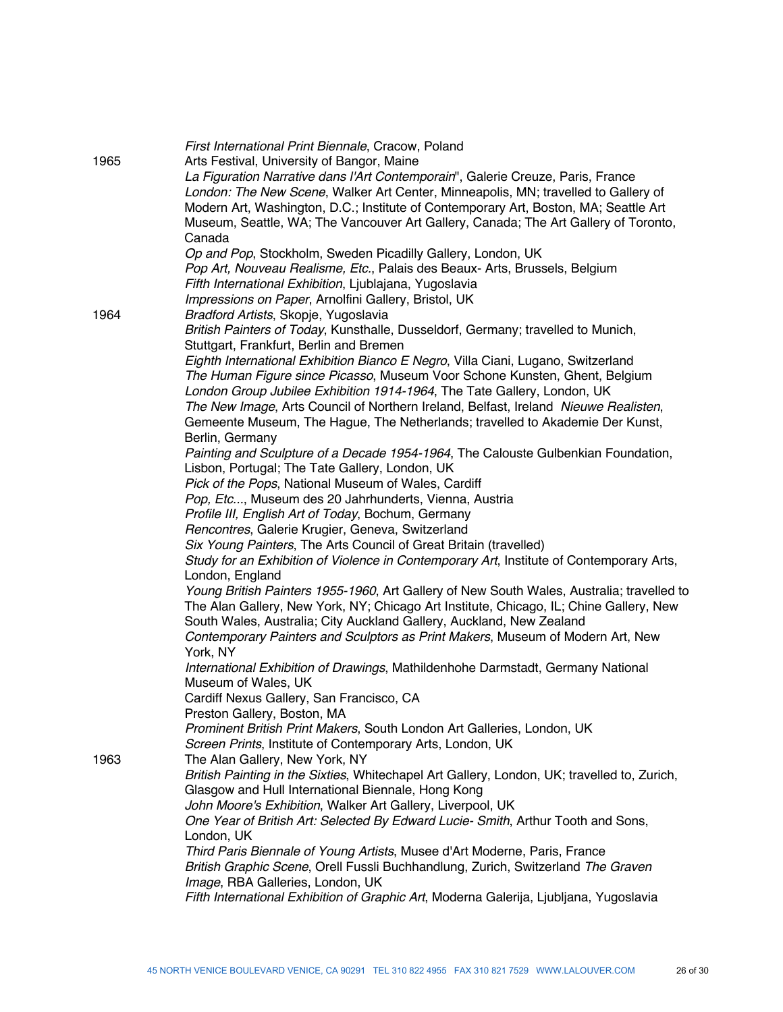| 1965 | First International Print Biennale, Cracow, Poland<br>Arts Festival, University of Bangor, Maine<br>La Figuration Narrative dans l'Art Contemporain", Galerie Creuze, Paris, France<br>London: The New Scene, Walker Art Center, Minneapolis, MN; travelled to Gallery of<br>Modern Art, Washington, D.C.; Institute of Contemporary Art, Boston, MA; Seattle Art<br>Museum, Seattle, WA; The Vancouver Art Gallery, Canada; The Art Gallery of Toronto,<br>Canada                                                                                                                                                                                                                                                                                                                                                                                                                                                    |
|------|-----------------------------------------------------------------------------------------------------------------------------------------------------------------------------------------------------------------------------------------------------------------------------------------------------------------------------------------------------------------------------------------------------------------------------------------------------------------------------------------------------------------------------------------------------------------------------------------------------------------------------------------------------------------------------------------------------------------------------------------------------------------------------------------------------------------------------------------------------------------------------------------------------------------------|
| 1964 | Op and Pop, Stockholm, Sweden Picadilly Gallery, London, UK<br>Pop Art, Nouveau Realisme, Etc., Palais des Beaux- Arts, Brussels, Belgium<br>Fifth International Exhibition, Ljublajana, Yugoslavia<br>Impressions on Paper, Arnolfini Gallery, Bristol, UK<br>Bradford Artists, Skopje, Yugoslavia<br>British Painters of Today, Kunsthalle, Dusseldorf, Germany; travelled to Munich,<br>Stuttgart, Frankfurt, Berlin and Bremen<br>Eighth International Exhibition Bianco E Negro, Villa Ciani, Lugano, Switzerland<br>The Human Figure since Picasso, Museum Voor Schone Kunsten, Ghent, Belgium<br>London Group Jubilee Exhibition 1914-1964, The Tate Gallery, London, UK<br>The New Image, Arts Council of Northern Ireland, Belfast, Ireland Nieuwe Realisten,<br>Gemeente Museum, The Hague, The Netherlands; travelled to Akademie Der Kunst,                                                               |
|      | Berlin, Germany<br>Painting and Sculpture of a Decade 1954-1964, The Calouste Gulbenkian Foundation,<br>Lisbon, Portugal; The Tate Gallery, London, UK<br>Pick of the Pops, National Museum of Wales, Cardiff<br>Pop, Etc, Museum des 20 Jahrhunderts, Vienna, Austria<br>Profile III, English Art of Today, Bochum, Germany<br>Rencontres, Galerie Krugier, Geneva, Switzerland<br>Six Young Painters, The Arts Council of Great Britain (travelled)<br>Study for an Exhibition of Violence in Contemporary Art, Institute of Contemporary Arts,<br>London, England<br>Young British Painters 1955-1960, Art Gallery of New South Wales, Australia; travelled to<br>The Alan Gallery, New York, NY; Chicago Art Institute, Chicago, IL; Chine Gallery, New<br>South Wales, Australia; City Auckland Gallery, Auckland, New Zealand<br>Contemporary Painters and Sculptors as Print Makers, Museum of Modern Art, New |
|      | York, NY<br>International Exhibition of Drawings, Mathildenhohe Darmstadt, Germany National<br>Museum of Wales, UK<br>Cardiff Nexus Gallery, San Francisco, CA<br>Preston Gallery, Boston, MA<br>Prominent British Print Makers, South London Art Galleries, London, UK<br>Screen Prints, Institute of Contemporary Arts, London, UK                                                                                                                                                                                                                                                                                                                                                                                                                                                                                                                                                                                  |
| 1963 | The Alan Gallery, New York, NY<br>British Painting in the Sixties, Whitechapel Art Gallery, London, UK; travelled to, Zurich,<br>Glasgow and Hull International Biennale, Hong Kong<br>John Moore's Exhibition, Walker Art Gallery, Liverpool, UK<br>One Year of British Art: Selected By Edward Lucie- Smith, Arthur Tooth and Sons,<br>London, UK<br>Third Paris Biennale of Young Artists, Musee d'Art Moderne, Paris, France<br>British Graphic Scene, Orell Fussli Buchhandlung, Zurich, Switzerland The Graven<br>Image, RBA Galleries, London, UK<br>Fifth International Exhibition of Graphic Art, Moderna Galerija, Ljubljana, Yugoslavia                                                                                                                                                                                                                                                                    |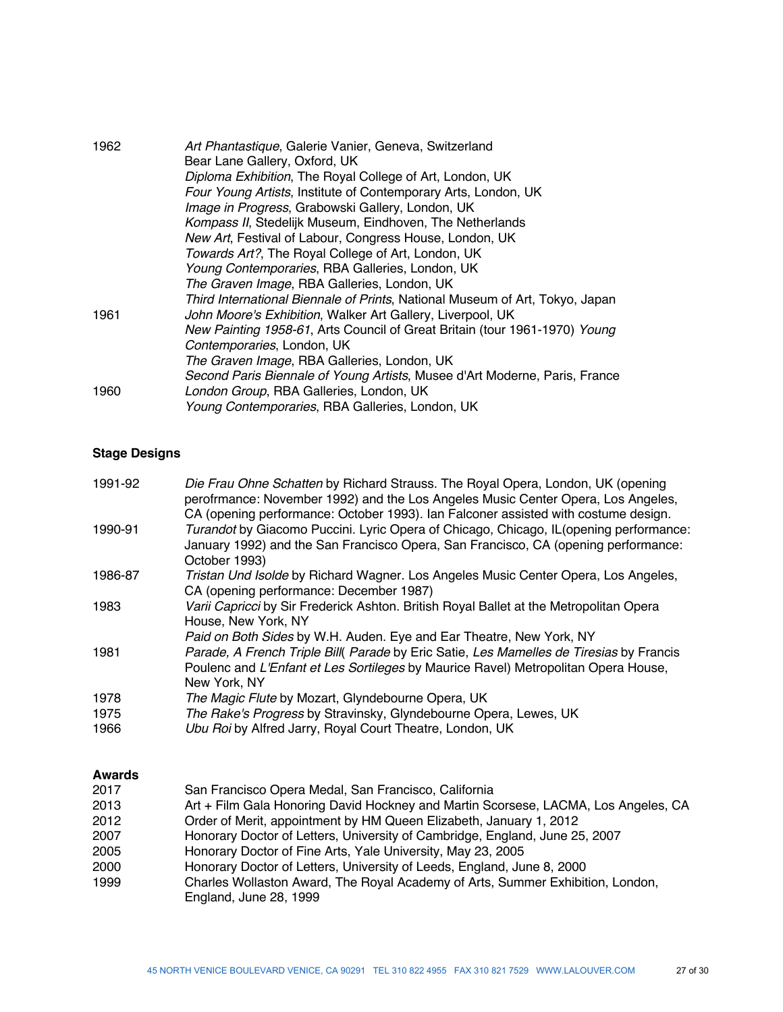| 1962 | Art Phantastique, Galerie Vanier, Geneva, Switzerland<br>Bear Lane Gallery, Oxford, UK |
|------|----------------------------------------------------------------------------------------|
|      | Diploma Exhibition, The Royal College of Art, London, UK                               |
|      | Four Young Artists, Institute of Contemporary Arts, London, UK                         |
|      | Image in Progress, Grabowski Gallery, London, UK                                       |
|      | Kompass II, Stedelijk Museum, Eindhoven, The Netherlands                               |
|      | New Art, Festival of Labour, Congress House, London, UK                                |
|      | Towards Art?, The Royal College of Art, London, UK                                     |
|      | Young Contemporaries, RBA Galleries, London, UK                                        |
|      | The Graven Image, RBA Galleries, London, UK                                            |
|      | Third International Biennale of Prints, National Museum of Art, Tokyo, Japan           |
| 1961 | John Moore's Exhibition, Walker Art Gallery, Liverpool, UK                             |
|      | New Painting 1958-61, Arts Council of Great Britain (tour 1961-1970) Young             |
|      | Contemporaries, London, UK                                                             |
|      | The Graven Image, RBA Galleries, London, UK                                            |
|      | Second Paris Biennale of Young Artists, Musee d'Art Moderne, Paris, France             |
| 1960 | London Group, RBA Galleries, London, UK                                                |
|      | Young Contemporaries, RBA Galleries, London, UK                                        |

## **Stage Designs**

| Die Frau Ohne Schatten by Richard Strauss. The Royal Opera, London, UK (opening<br>perofrmance: November 1992) and the Los Angeles Music Center Opera, Los Angeles,<br>CA (opening performance: October 1993). Ian Falconer assisted with costume design. |
|-----------------------------------------------------------------------------------------------------------------------------------------------------------------------------------------------------------------------------------------------------------|
| Turandot by Giacomo Puccini. Lyric Opera of Chicago, Chicago, IL (opening performance:<br>January 1992) and the San Francisco Opera, San Francisco, CA (opening performance:<br>October 1993)                                                             |
| Tristan Und Isolde by Richard Wagner. Los Angeles Music Center Opera, Los Angeles,                                                                                                                                                                        |
| CA (opening performance: December 1987)                                                                                                                                                                                                                   |
| Varii Capricci by Sir Frederick Ashton. British Royal Ballet at the Metropolitan Opera                                                                                                                                                                    |
| House, New York, NY                                                                                                                                                                                                                                       |
| Paid on Both Sides by W.H. Auden. Eye and Ear Theatre, New York, NY                                                                                                                                                                                       |
| Parade, A French Triple Bill( Parade by Eric Satie, Les Mamelles de Tiresias by Francis                                                                                                                                                                   |
| Poulenc and L'Enfant et Les Sortileges by Maurice Ravel) Metropolitan Opera House,                                                                                                                                                                        |
| New York, NY                                                                                                                                                                                                                                              |
| The Magic Flute by Mozart, Glyndebourne Opera, UK                                                                                                                                                                                                         |
| The Rake's Progress by Stravinsky, Glyndebourne Opera, Lewes, UK                                                                                                                                                                                          |
| Ubu Roi by Alfred Jarry, Royal Court Theatre, London, UK                                                                                                                                                                                                  |
|                                                                                                                                                                                                                                                           |

### **Awards**

| San Francisco Opera Medal, San Francisco, California                                                     |
|----------------------------------------------------------------------------------------------------------|
| Art + Film Gala Honoring David Hockney and Martin Scorsese, LACMA, Los Angeles, CA                       |
| Order of Merit, appointment by HM Queen Elizabeth, January 1, 2012                                       |
| Honorary Doctor of Letters, University of Cambridge, England, June 25, 2007                              |
| Honorary Doctor of Fine Arts, Yale University, May 23, 2005                                              |
| Honorary Doctor of Letters, University of Leeds, England, June 8, 2000                                   |
| Charles Wollaston Award, The Royal Academy of Arts, Summer Exhibition, London,<br>England, June 28, 1999 |
|                                                                                                          |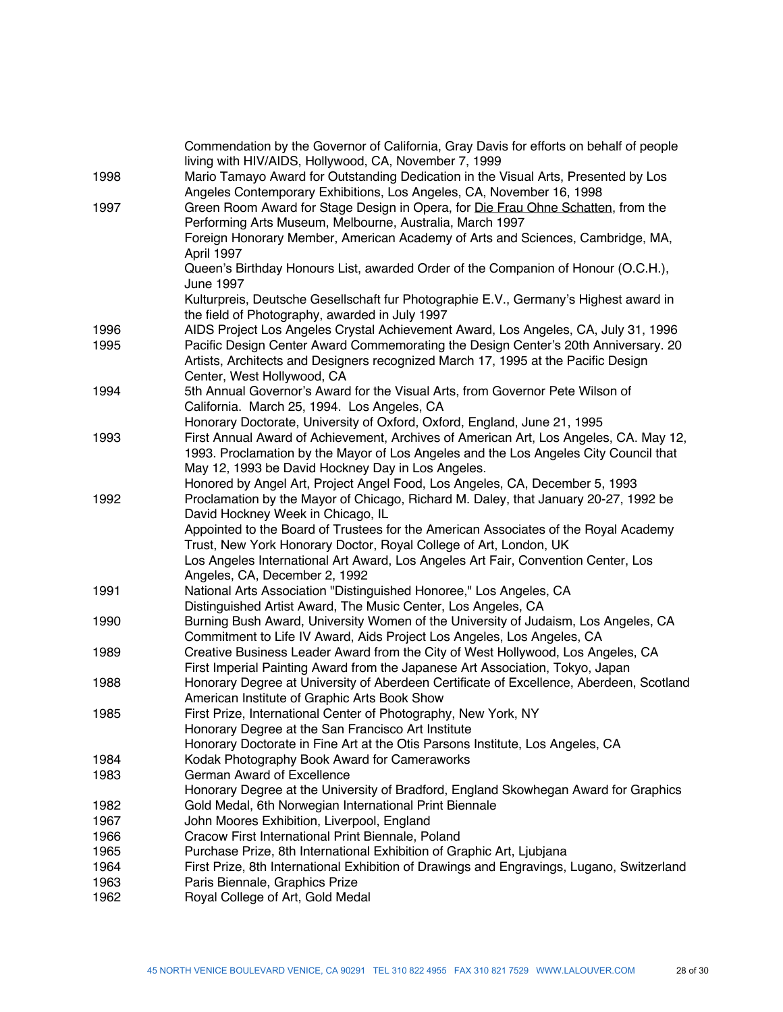|      | Commendation by the Governor of California, Gray Davis for efforts on behalf of people<br>living with HIV/AIDS, Hollywood, CA, November 7, 1999                          |
|------|--------------------------------------------------------------------------------------------------------------------------------------------------------------------------|
| 1998 | Mario Tamayo Award for Outstanding Dedication in the Visual Arts, Presented by Los<br>Angeles Contemporary Exhibitions, Los Angeles, CA, November 16, 1998               |
| 1997 | Green Room Award for Stage Design in Opera, for Die Frau Ohne Schatten, from the                                                                                         |
|      | Performing Arts Museum, Melbourne, Australia, March 1997                                                                                                                 |
|      | Foreign Honorary Member, American Academy of Arts and Sciences, Cambridge, MA,                                                                                           |
|      | April 1997                                                                                                                                                               |
|      | Queen's Birthday Honours List, awarded Order of the Companion of Honour (O.C.H.),<br>June 1997                                                                           |
|      | Kulturpreis, Deutsche Gesellschaft fur Photographie E.V., Germany's Highest award in                                                                                     |
|      | the field of Photography, awarded in July 1997                                                                                                                           |
| 1996 | AIDS Project Los Angeles Crystal Achievement Award, Los Angeles, CA, July 31, 1996                                                                                       |
| 1995 | Pacific Design Center Award Commemorating the Design Center's 20th Anniversary. 20                                                                                       |
|      | Artists, Architects and Designers recognized March 17, 1995 at the Pacific Design                                                                                        |
|      | Center, West Hollywood, CA                                                                                                                                               |
| 1994 | 5th Annual Governor's Award for the Visual Arts, from Governor Pete Wilson of                                                                                            |
|      | California. March 25, 1994. Los Angeles, CA                                                                                                                              |
|      | Honorary Doctorate, University of Oxford, Oxford, England, June 21, 1995                                                                                                 |
| 1993 | First Annual Award of Achievement, Archives of American Art, Los Angeles, CA. May 12,                                                                                    |
|      | 1993. Proclamation by the Mayor of Los Angeles and the Los Angeles City Council that                                                                                     |
|      | May 12, 1993 be David Hockney Day in Los Angeles.                                                                                                                        |
|      | Honored by Angel Art, Project Angel Food, Los Angeles, CA, December 5, 1993                                                                                              |
| 1992 | Proclamation by the Mayor of Chicago, Richard M. Daley, that January 20-27, 1992 be<br>David Hockney Week in Chicago, IL                                                 |
|      | Appointed to the Board of Trustees for the American Associates of the Royal Academy                                                                                      |
|      | Trust, New York Honorary Doctor, Royal College of Art, London, UK                                                                                                        |
|      | Los Angeles International Art Award, Los Angeles Art Fair, Convention Center, Los                                                                                        |
|      | Angeles, CA, December 2, 1992                                                                                                                                            |
| 1991 | National Arts Association "Distinguished Honoree," Los Angeles, CA                                                                                                       |
|      | Distinguished Artist Award, The Music Center, Los Angeles, CA                                                                                                            |
| 1990 | Burning Bush Award, University Women of the University of Judaism, Los Angeles, CA                                                                                       |
|      | Commitment to Life IV Award, Aids Project Los Angeles, Los Angeles, CA                                                                                                   |
| 1989 | Creative Business Leader Award from the City of West Hollywood, Los Angeles, CA                                                                                          |
|      | First Imperial Painting Award from the Japanese Art Association, Tokyo, Japan<br>Honorary Degree at University of Aberdeen Certificate of Excellence, Aberdeen, Scotland |
| 1988 | American Institute of Graphic Arts Book Show                                                                                                                             |
| 1985 | First Prize, International Center of Photography, New York, NY                                                                                                           |
|      | Honorary Degree at the San Francisco Art Institute                                                                                                                       |
|      | Honorary Doctorate in Fine Art at the Otis Parsons Institute, Los Angeles, CA                                                                                            |
| 1984 | Kodak Photography Book Award for Cameraworks                                                                                                                             |
| 1983 | German Award of Excellence                                                                                                                                               |
|      | Honorary Degree at the University of Bradford, England Skowhegan Award for Graphics                                                                                      |
| 1982 | Gold Medal, 6th Norwegian International Print Biennale                                                                                                                   |
| 1967 | John Moores Exhibition, Liverpool, England                                                                                                                               |
| 1966 | Cracow First International Print Biennale, Poland                                                                                                                        |
| 1965 | Purchase Prize, 8th International Exhibition of Graphic Art, Ljubjana                                                                                                    |
| 1964 | First Prize, 8th International Exhibition of Drawings and Engravings, Lugano, Switzerland                                                                                |
| 1963 | Paris Biennale, Graphics Prize                                                                                                                                           |
| 1962 | Royal College of Art, Gold Medal                                                                                                                                         |
|      |                                                                                                                                                                          |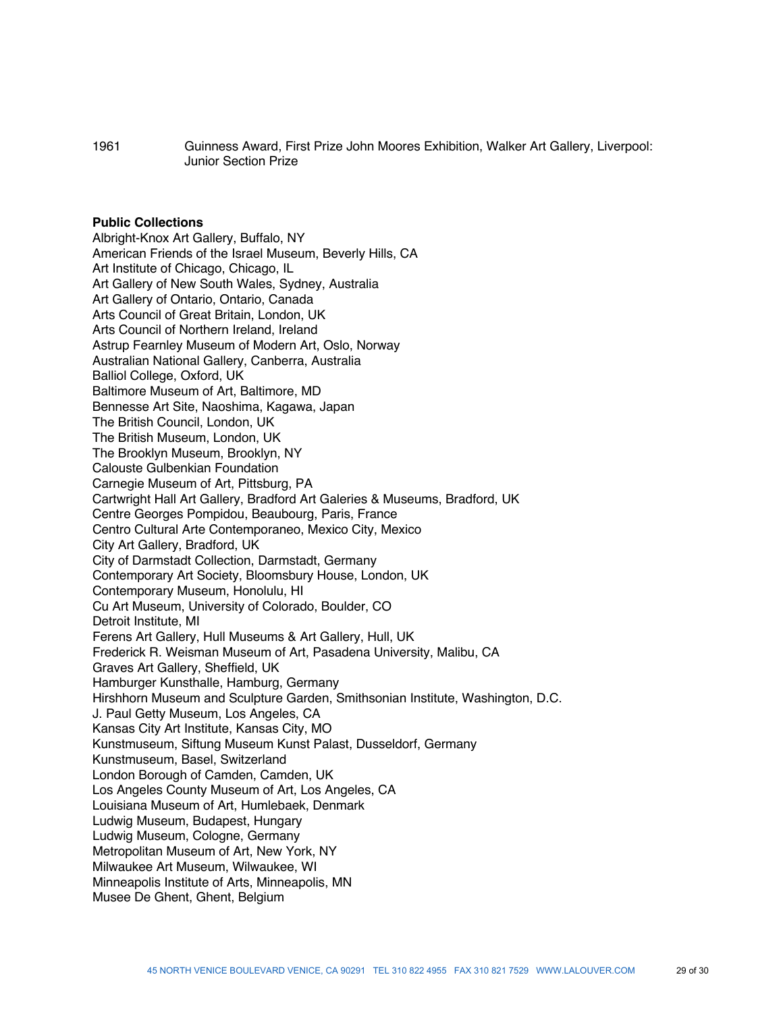1961 Guinness Award, First Prize John Moores Exhibition, Walker Art Gallery, Liverpool: Junior Section Prize

#### **Public Collections**

Albright-Knox Art Gallery, Buffalo, NY American Friends of the Israel Museum, Beverly Hills, CA Art Institute of Chicago, Chicago, IL Art Gallery of New South Wales, Sydney, Australia Art Gallery of Ontario, Ontario, Canada Arts Council of Great Britain, London, UK Arts Council of Northern Ireland, Ireland Astrup Fearnley Museum of Modern Art, Oslo, Norway Australian National Gallery, Canberra, Australia Balliol College, Oxford, UK Baltimore Museum of Art, Baltimore, MD Bennesse Art Site, Naoshima, Kagawa, Japan The British Council, London, UK The British Museum, London, UK The Brooklyn Museum, Brooklyn, NY Calouste Gulbenkian Foundation Carnegie Museum of Art, Pittsburg, PA Cartwright Hall Art Gallery, Bradford Art Galeries & Museums, Bradford, UK Centre Georges Pompidou, Beaubourg, Paris, France Centro Cultural Arte Contemporaneo, Mexico City, Mexico City Art Gallery, Bradford, UK City of Darmstadt Collection, Darmstadt, Germany Contemporary Art Society, Bloomsbury House, London, UK Contemporary Museum, Honolulu, HI Cu Art Museum, University of Colorado, Boulder, CO Detroit Institute, MI Ferens Art Gallery, Hull Museums & Art Gallery, Hull, UK Frederick R. Weisman Museum of Art, Pasadena University, Malibu, CA Graves Art Gallery, Sheffield, UK Hamburger Kunsthalle, Hamburg, Germany Hirshhorn Museum and Sculpture Garden, Smithsonian Institute, Washington, D.C. J. Paul Getty Museum, Los Angeles, CA Kansas City Art Institute, Kansas City, MO Kunstmuseum, Siftung Museum Kunst Palast, Dusseldorf, Germany Kunstmuseum, Basel, Switzerland London Borough of Camden, Camden, UK Los Angeles County Museum of Art, Los Angeles, CA Louisiana Museum of Art, Humlebaek, Denmark Ludwig Museum, Budapest, Hungary Ludwig Museum, Cologne, Germany Metropolitan Museum of Art, New York, NY Milwaukee Art Museum, Wilwaukee, WI Minneapolis Institute of Arts, Minneapolis, MN Musee De Ghent, Ghent, Belgium